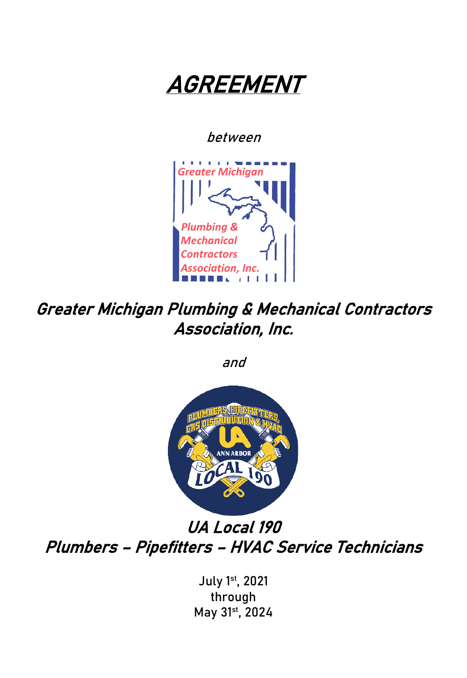

between



Greater Michigan Plumbing & Mechanical Contractors Association, Inc.

and



UA Local 190 Plumbers – Pipefitters – HVAC Service Technicians

> July 1st, 2021 through May 31st, 2024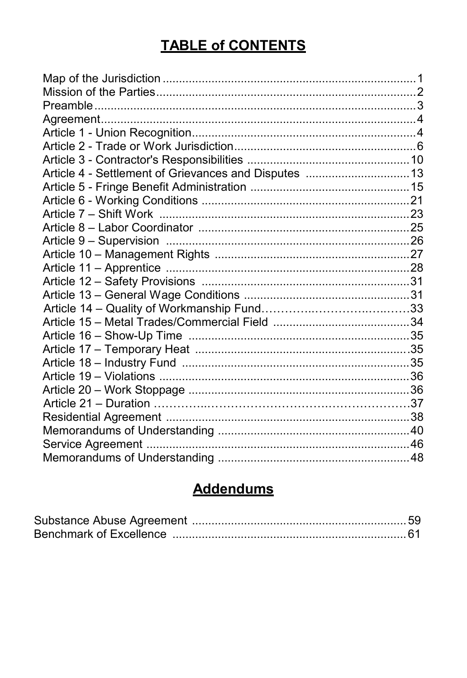# **TABLE of CONTENTS**

# **Addendums**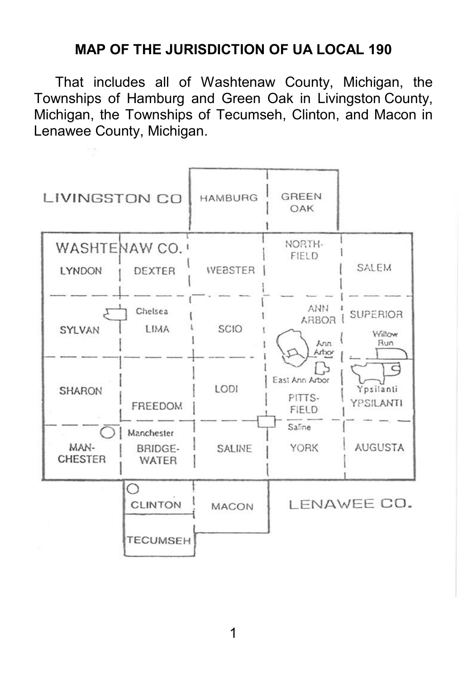#### **MAP OF THE JURISDICTION OF UA LOCAL 190**

That includes all of Washtenaw County, Michigan, the Townships of Hamburg and Green Oak in Livingston County, Michigan, the Townships of Tecumseh, Clinton, and Macon in Lenawee County, Michigan.

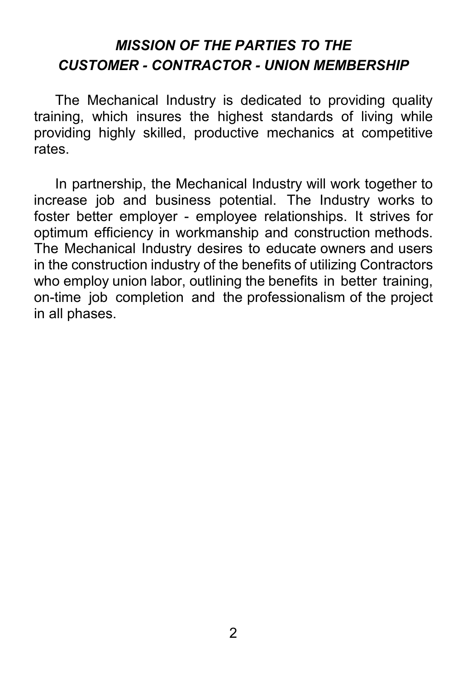# *MISSION OF THE PARTIES TO THE CUSTOMER - CONTRACTOR - UNION MEMBERSHIP*

The Mechanical Industry is dedicated to providing quality training, which insures the highest standards of living while providing highly skilled, productive mechanics at competitive rates.

<span id="page-3-0"></span>In partnership, the Mechanical Industry will work together to increase job and business potential. The Industry works to foster better employer - employee relationships. It strives for optimum efficiency in workmanship and construction methods. The Mechanical Industry desires to educate owners and users in the construction industry of the benefits of utilizing Contractors who employ union labor, outlining the benefits in better training, on-time job completion and the professionalism of the project in all phases.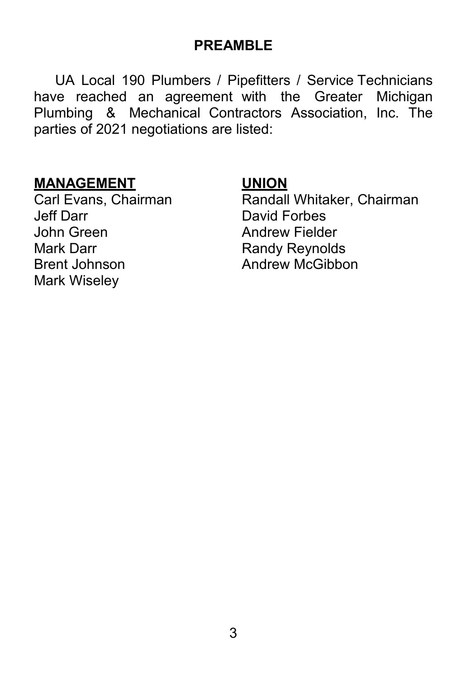#### **PREAMBLE**

UA Local 190 Plumbers / Pipefitters / Service Technicians have reached an agreement with the Greater Michigan Plumbing & Mechanical Contractors Association, Inc. The parties of 2021 negotiations are listed:

**MANAGEMENT UNION** John Green **Andrew Fielder**<br>Mark Darr **Mark Darr Andrew Randy Revnold** Brent Johnson **Andrew McGibbon** Mark Wiseley

<span id="page-4-0"></span>Carl Evans, Chairman **Randall Whitaker, Chairman**<br>Jeff Darr **David Forbes** David Forbes **Randy Reynolds**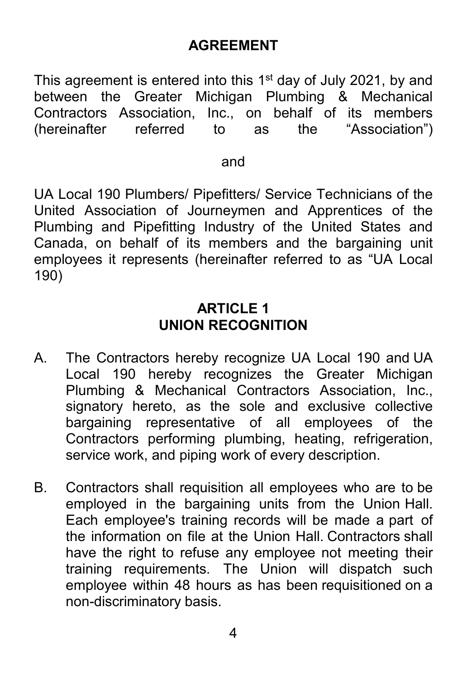#### **AGREEMENT**

This agreement is entered into this 1<sup>st</sup> day of July 2021, by and between the Greater Michigan Plumbing & Mechanical Contractors Association, Inc., on behalf of its members (hereinafter referred to as the "Association")

#### and

UA Local 190 Plumbers/ Pipefitters/ Service Technicians of the United Association of Journeymen and Apprentices of the Plumbing and Pipefitting Industry of the United States and Canada, on behalf of its members and the bargaining unit employees it represents (hereinafter referred to as "UA Local 190)

#### **ARTICLE 1 UNION RECOGNITION**

- A. The Contractors hereby recognize UA Local 190 and UA Local 190 hereby recognizes the Greater Michigan Plumbing & Mechanical Contractors Association, Inc., signatory hereto, as the sole and exclusive collective bargaining representative of all employees of the Contractors performing plumbing, heating, refrigeration, service work, and piping work of every description.
- B. Contractors shall requisition all employees who are to be employed in the bargaining units from the Union Hall. Each employee's training records will be made a part of the information on file at the Union Hall. Contractors shall have the right to refuse any employee not meeting their training requirements. The Union will dispatch such employee within 48 hours as has been requisitioned on a non-discriminatory basis.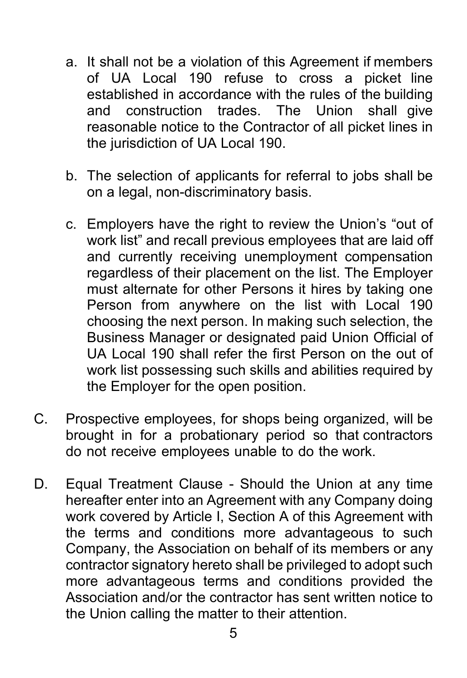- a. It shall not be a violation of this Agreement if members of UA Local 190 refuse to cross a picket line established in accordance with the rules of the building and construction trades. The Union shall give reasonable notice to the Contractor of all picket lines in the jurisdiction of UA Local 190.
- b. The selection of applicants for referral to jobs shall be on a legal, non-discriminatory basis.
- c. Employers have the right to review the Union's "out of work list" and recall previous employees that are laid off and currently receiving unemployment compensation regardless of their placement on the list. The Employer must alternate for other Persons it hires by taking one Person from anywhere on the list with Local 190 choosing the next person. In making such selection, the Business Manager or designated paid Union Official of UA Local 190 shall refer the first Person on the out of work list possessing such skills and abilities required by the Employer for the open position.
- C. Prospective employees, for shops being organized, will be brought in for a probationary period so that contractors do not receive employees unable to do the work.
- D. Equal Treatment Clause Should the Union at any time hereafter enter into an Agreement with any Company doing work covered by Article I, Section A of this Agreement with the terms and conditions more advantageous to such Company, the Association on behalf of its members or any contractor signatory hereto shall be privileged to adopt such more advantageous terms and conditions provided the Association and/or the contractor has sent written notice to the Union calling the matter to their attention.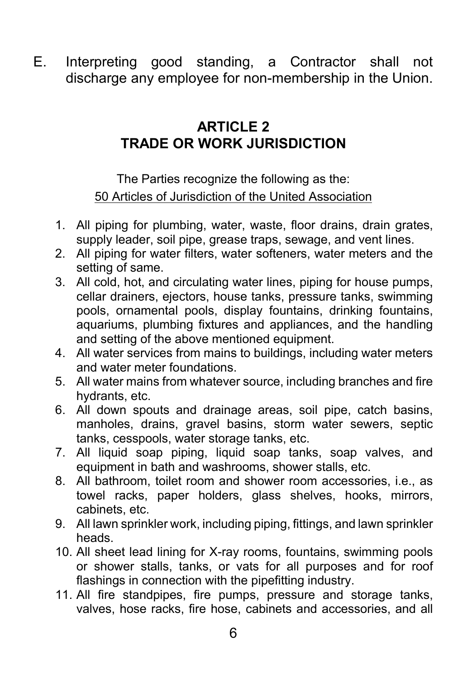E. Interpreting good standing, a Contractor shall not discharge any employee for non-membership in the Union.

# **ARTICLE 2 TRADE OR WORK JURISDICTION**

The Parties recognize the following as the: 50 Articles of Jurisdiction of the United Association

- <span id="page-7-0"></span>1. All piping for plumbing, water, waste, floor drains, drain grates, supply leader, soil pipe, grease traps, sewage, and vent lines.
- 2. All piping for water filters, water softeners, water meters and the setting of same.
- 3. All cold, hot, and circulating water lines, piping for house pumps, cellar drainers, ejectors, house tanks, pressure tanks, swimming pools, ornamental pools, display fountains, drinking fountains, aquariums, plumbing fixtures and appliances, and the handling and setting of the above mentioned equipment.
- 4. All water services from mains to buildings, including water meters and water meter foundations.
- 5. All water mains from whatever source, including branches and fire hydrants, etc.
- 6. All down spouts and drainage areas, soil pipe, catch basins, manholes, drains, gravel basins, storm water sewers, septic tanks, cesspools, water storage tanks, etc.
- 7. All liquid soap piping, liquid soap tanks, soap valves, and equipment in bath and washrooms, shower stalls, etc.
- 8. All bathroom, toilet room and shower room accessories, i.e., as towel racks, paper holders, glass shelves, hooks, mirrors, cabinets, etc.
- 9. All lawn sprinkler work, including piping, fittings, and lawn sprinkler heads.
- 10. All sheet lead lining for X-ray rooms, fountains, swimming pools or shower stalls, tanks, or vats for all purposes and for roof flashings in connection with the pipefitting industry.
- 11. All fire standpipes, fire pumps, pressure and storage tanks, valves, hose racks, fire hose, cabinets and accessories, and all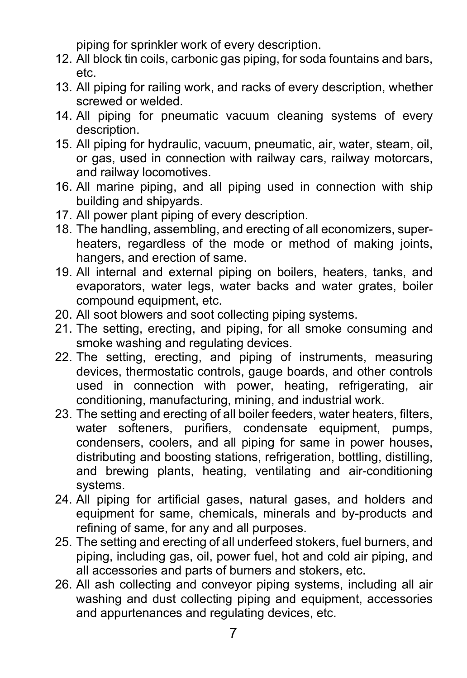piping for sprinkler work of every description.

- 12. All block tin coils, carbonic gas piping, for soda fountains and bars, etc.
- 13. All piping for railing work, and racks of every description, whether screwed or welded.
- 14. All piping for pneumatic vacuum cleaning systems of every description.
- 15. All piping for hydraulic, vacuum, pneumatic, air, water, steam, oil, or gas, used in connection with railway cars, railway motorcars, and railway locomotives.
- 16. All marine piping, and all piping used in connection with ship building and shipyards.
- 17. All power plant piping of every description.
- 18. The handling, assembling, and erecting of all economizers, superheaters, regardless of the mode or method of making joints, hangers, and erection of same.
- 19. All internal and external piping on boilers, heaters, tanks, and evaporators, water legs, water backs and water grates, boiler compound equipment, etc.
- 20. All soot blowers and soot collecting piping systems.
- 21. The setting, erecting, and piping, for all smoke consuming and smoke washing and regulating devices.
- 22. The setting, erecting, and piping of instruments, measuring devices, thermostatic controls, gauge boards, and other controls used in connection with power, heating, refrigerating, air conditioning, manufacturing, mining, and industrial work.
- 23. The setting and erecting of all boiler feeders, water heaters, filters, water softeners, purifiers, condensate equipment, pumps, condensers, coolers, and all piping for same in power houses, distributing and boosting stations, refrigeration, bottling, distilling, and brewing plants, heating, ventilating and air-conditioning systems.
- 24. All piping for artificial gases, natural gases, and holders and equipment for same, chemicals, minerals and by-products and refining of same, for any and all purposes.
- 25. The setting and erecting of all underfeed stokers, fuel burners, and piping, including gas, oil, power fuel, hot and cold air piping, and all accessories and parts of burners and stokers, etc.
- 26. All ash collecting and conveyor piping systems, including all air washing and dust collecting piping and equipment, accessories and appurtenances and regulating devices, etc.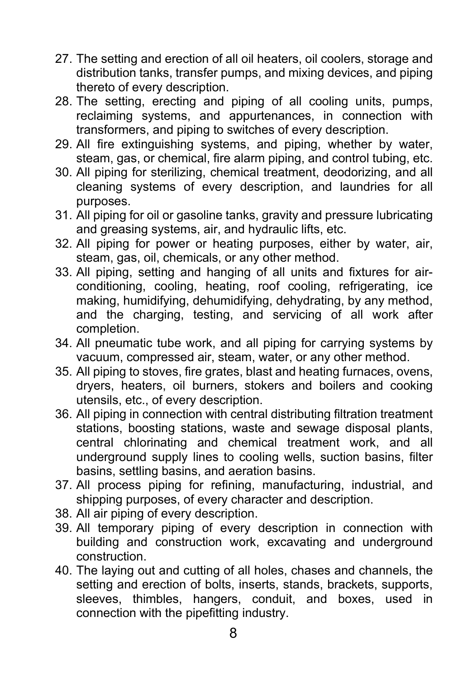- 27. The setting and erection of all oil heaters, oil coolers, storage and distribution tanks, transfer pumps, and mixing devices, and piping thereto of every description.
- 28. The setting, erecting and piping of all cooling units, pumps, reclaiming systems, and appurtenances, in connection with transformers, and piping to switches of every description.
- 29. All fire extinguishing systems, and piping, whether by water, steam, gas, or chemical, fire alarm piping, and control tubing, etc.
- 30. All piping for sterilizing, chemical treatment, deodorizing, and all cleaning systems of every description, and laundries for all purposes.
- 31. All piping for oil or gasoline tanks, gravity and pressure lubricating and greasing systems, air, and hydraulic lifts, etc.
- 32. All piping for power or heating purposes, either by water, air, steam, gas, oil, chemicals, or any other method.
- 33. All piping, setting and hanging of all units and fixtures for airconditioning, cooling, heating, roof cooling, refrigerating, ice making, humidifying, dehumidifying, dehydrating, by any method, and the charging, testing, and servicing of all work after completion.
- 34. All pneumatic tube work, and all piping for carrying systems by vacuum, compressed air, steam, water, or any other method.
- 35. All piping to stoves, fire grates, blast and heating furnaces, ovens, dryers, heaters, oil burners, stokers and boilers and cooking utensils, etc., of every description.
- 36. All piping in connection with central distributing filtration treatment stations, boosting stations, waste and sewage disposal plants, central chlorinating and chemical treatment work, and all underground supply lines to cooling wells, suction basins, filter basins, settling basins, and aeration basins.
- 37. All process piping for refining, manufacturing, industrial, and shipping purposes, of every character and description.
- 38. All air piping of every description.
- 39. All temporary piping of every description in connection with building and construction work, excavating and underground construction.
- 40. The laying out and cutting of all holes, chases and channels, the setting and erection of bolts, inserts, stands, brackets, supports, sleeves, thimbles, hangers, conduit, and boxes, used in connection with the pipefitting industry.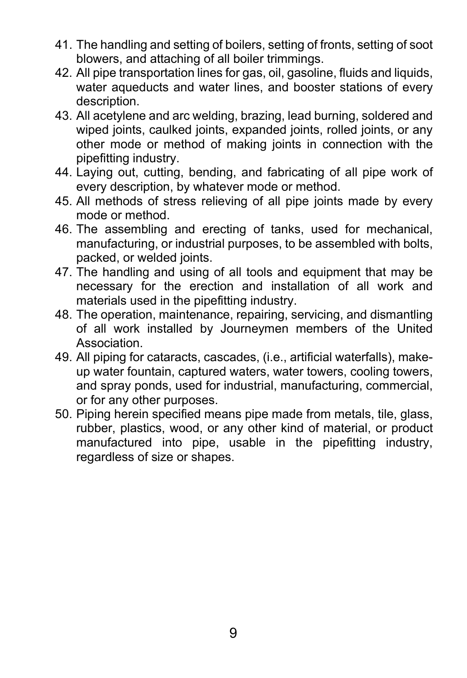- 41. The handling and setting of boilers, setting of fronts, setting of soot blowers, and attaching of all boiler trimmings.
- 42. All pipe transportation lines for gas, oil, gasoline, fluids and liquids, water aqueducts and water lines, and booster stations of every description.
- 43. All acetylene and arc welding, brazing, lead burning, soldered and wiped joints, caulked joints, expanded joints, rolled joints, or any other mode or method of making joints in connection with the pipefitting industry.
- 44. Laying out, cutting, bending, and fabricating of all pipe work of every description, by whatever mode or method.
- 45. All methods of stress relieving of all pipe joints made by every mode or method.
- 46. The assembling and erecting of tanks, used for mechanical, manufacturing, or industrial purposes, to be assembled with bolts, packed, or welded joints.
- 47. The handling and using of all tools and equipment that may be necessary for the erection and installation of all work and materials used in the pipefitting industry.
- 48. The operation, maintenance, repairing, servicing, and dismantling of all work installed by Journeymen members of the United Association.
- 49. All piping for cataracts, cascades, (i.e., artificial waterfalls), makeup water fountain, captured waters, water towers, cooling towers, and spray ponds, used for industrial, manufacturing, commercial, or for any other purposes.
- 50. Piping herein specified means pipe made from metals, tile, glass, rubber, plastics, wood, or any other kind of material, or product manufactured into pipe, usable in the pipefitting industry, regardless of size or shapes.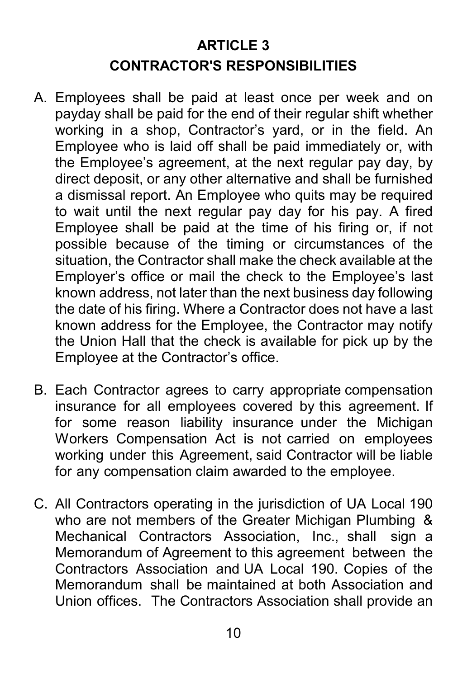# **ARTICLE 3 CONTRACTOR'S RESPONSIBILITIES**

- A. Employees shall be paid at least once per week and on payday shall be paid for the end of their regular shift whether working in a shop, Contractor's yard, or in the field. An Employee who is laid off shall be paid immediately or, with the Employee's agreement, at the next regular pay day, by direct deposit, or any other alternative and shall be furnished a dismissal report. An Employee who quits may be required to wait until the next regular pay day for his pay. A fired Employee shall be paid at the time of his firing or, if not possible because of the timing or circumstances of the situation, the Contractor shall make the check available at the Employer's office or mail the check to the Employee's last known address, not later than the next business day following the date of his firing. Where a Contractor does not have a last known address for the Employee, the Contractor may notify the Union Hall that the check is available for pick up by the Employee at the Contractor's office.
- B. Each Contractor agrees to carry appropriate compensation insurance for all employees covered by this agreement. If for some reason liability insurance under the Michigan Workers Compensation Act is not carried on employees working under this Agreement, said Contractor will be liable for any compensation claim awarded to the employee.
- C. All Contractors operating in the jurisdiction of UA Local 190 who are not members of the Greater Michigan Plumbing & Mechanical Contractors Association, Inc., shall sign a Memorandum of Agreement to this agreement between the Contractors Association and UA Local 190. Copies of the Memorandum shall be maintained at both Association and Union offices. The Contractors Association shall provide an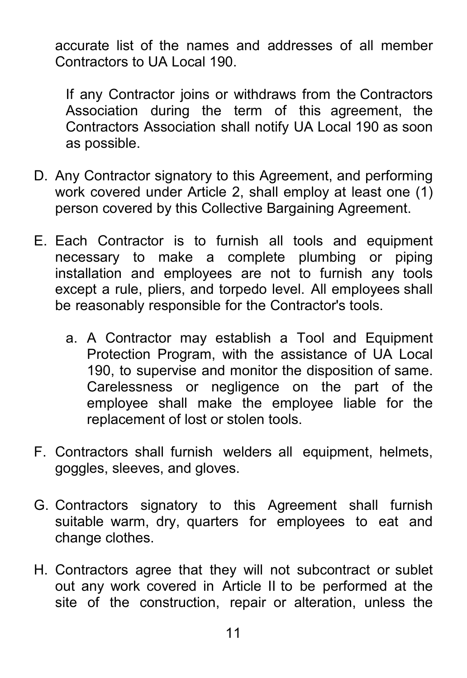accurate list of the names and addresses of all member Contractors to UA Local 190.

If any Contractor joins or withdraws from the Contractors Association during the term of this agreement, the Contractors Association shall notify UA Local 190 as soon as possible.

- D. Any Contractor signatory to this Agreement, and performing work covered under Article 2, shall employ at least one (1) person covered by this Collective Bargaining Agreement.
- E. Each Contractor is to furnish all tools and equipment necessary to make a complete plumbing or piping installation and employees are not to furnish any tools except a rule, pliers, and torpedo level. All employees shall be reasonably responsible for the Contractor's tools.
	- a. A Contractor may establish a Tool and Equipment Protection Program, with the assistance of UA Local 190, to supervise and monitor the disposition of same. Carelessness or negligence on the part of the employee shall make the employee liable for the replacement of lost or stolen tools.
- F. Contractors shall furnish welders all equipment, helmets, goggles, sleeves, and gloves.
- G. Contractors signatory to this Agreement shall furnish suitable warm, dry, quarters for employees to eat and change clothes.
- H. Contractors agree that they will not subcontract or sublet out any work covered in Article II to be performed at the site of the construction, repair or alteration, unless the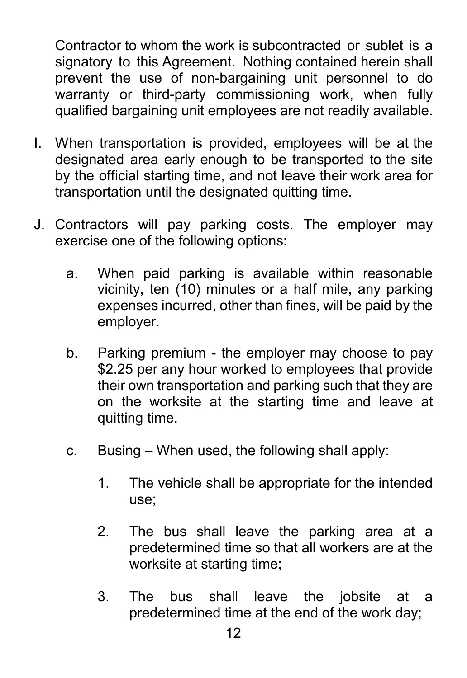Contractor to whom the work is subcontracted or sublet is a signatory to this Agreement. Nothing contained herein shall prevent the use of non-bargaining unit personnel to do warranty or third-party commissioning work, when fully qualified bargaining unit employees are not readily available.

- I. When transportation is provided, employees will be at the designated area early enough to be transported to the site by the official starting time, and not leave their work area for transportation until the designated quitting time.
- J. Contractors will pay parking costs. The employer may exercise one of the following options:
	- a. When paid parking is available within reasonable vicinity, ten (10) minutes or a half mile, any parking expenses incurred, other than fines, will be paid by the employer.
	- b. Parking premium the employer may choose to pay \$2.25 per any hour worked to employees that provide their own transportation and parking such that they are on the worksite at the starting time and leave at quitting time.
	- c. Busing When used, the following shall apply:
		- 1. The vehicle shall be appropriate for the intended use;
		- 2. The bus shall leave the parking area at a predetermined time so that all workers are at the worksite at starting time;
		- 3. The bus shall leave the jobsite at a predetermined time at the end of the work day;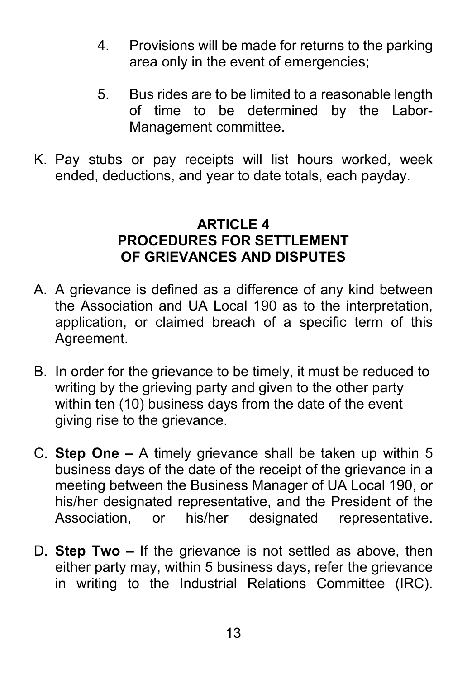- 4. Provisions will be made for returns to the parking area only in the event of emergencies;
- 5. Bus rides are to be limited to a reasonable length of time to be determined by the Labor-Management committee.
- K. Pay stubs or pay receipts will list hours worked, week ended, deductions, and year to date totals, each payday.

#### **ARTICLE 4 PROCEDURES FOR SETTLEMENT OF GRIEVANCES AND DISPUTES**

- A. A grievance is defined as a difference of any kind between the Association and UA Local 190 as to the interpretation, application, or claimed breach of a specific term of this Agreement.
- B. In order for the grievance to be timely, it must be reduced to writing by the grieving party and given to the other party within ten (10) business days from the date of the event giving rise to the grievance.
- C. **Step One –** A timely grievance shall be taken up within 5 business days of the date of the receipt of the grievance in a meeting between the Business Manager of UA Local 190, or his/her designated representative, and the President of the Association, or his/her designated representative.
- D. **Step Two –** If the grievance is not settled as above, then either party may, within 5 business days, refer the grievance in writing to the Industrial Relations Committee (IRC).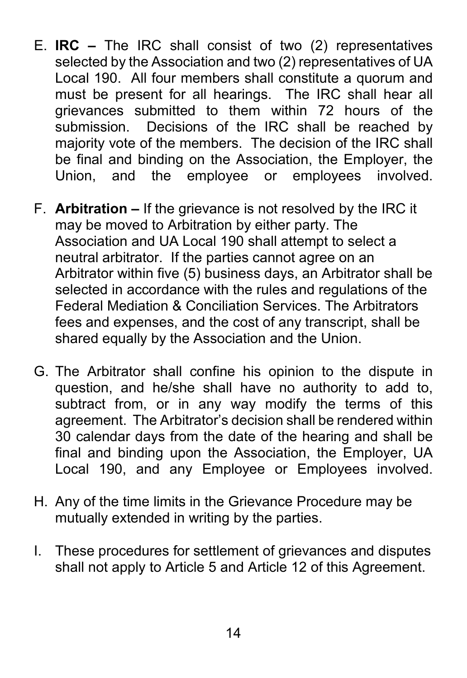- E. **IRC –** The IRC shall consist of two (2) representatives selected by the Association and two (2) representatives of UA Local 190. All four members shall constitute a quorum and must be present for all hearings. The IRC shall hear all grievances submitted to them within 72 hours of the submission. Decisions of the IRC shall be reached by majority vote of the members. The decision of the IRC shall be final and binding on the Association, the Employer, the Union, and the employee or employees involved.
- F. **Arbitration –** If the grievance is not resolved by the IRC it may be moved to Arbitration by either party. The Association and UA Local 190 shall attempt to select a neutral arbitrator. If the parties cannot agree on an Arbitrator within five (5) business days, an Arbitrator shall be selected in accordance with the rules and regulations of the Federal Mediation & Conciliation Services. The Arbitrators fees and expenses, and the cost of any transcript, shall be shared equally by the Association and the Union.
- G. The Arbitrator shall confine his opinion to the dispute in question, and he/she shall have no authority to add to, subtract from, or in any way modify the terms of this agreement. The Arbitrator's decision shall be rendered within 30 calendar days from the date of the hearing and shall be final and binding upon the Association, the Employer, UA Local 190, and any Employee or Employees involved.
- H. Any of the time limits in the Grievance Procedure may be mutually extended in writing by the parties.
- I. These procedures for settlement of grievances and disputes shall not apply to Article 5 and Article 12 of this Agreement.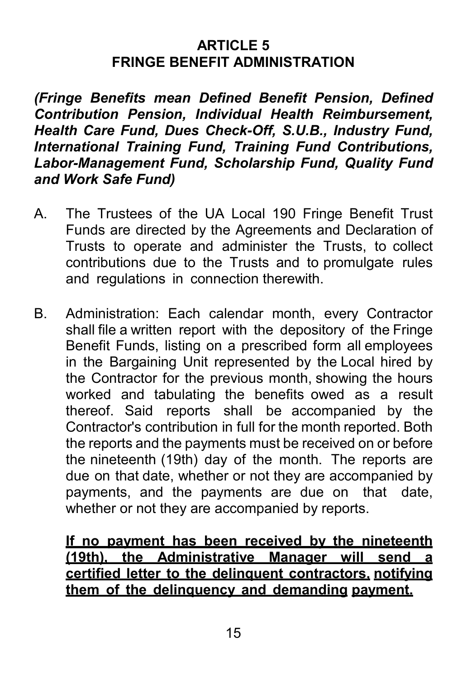#### **ARTICLE 5 FRINGE BENEFIT ADMINISTRATION**

*(Fringe Benefits mean Defined Benefit Pension, Defined Contribution Pension, Individual Health Reimbursement, Health Care Fund, Dues Check-Off, S.U.B., Industry Fund, International Training Fund, Training Fund Contributions, Labor-Management Fund, Scholarship Fund, Quality Fund and Work Safe Fund)*

- A. The Trustees of the UA Local 190 Fringe Benefit Trust Funds are directed by the Agreements and Declaration of Trusts to operate and administer the Trusts, to collect contributions due to the Trusts and to promulgate rules and regulations in connection therewith.
- B. Administration: Each calendar month, every Contractor shall file a written report with the depository of the Fringe Benefit Funds, listing on a prescribed form all employees in the Bargaining Unit represented by the Local hired by the Contractor for the previous month, showing the hours worked and tabulating the benefits owed as a result thereof. Said reports shall be accompanied by the Contractor's contribution in full for the month reported. Both the reports and the payments must be received on or before the nineteenth (19th) day of the month. The reports are due on that date, whether or not they are accompanied by payments, and the payments are due on that date, whether or not they are accompanied by reports.

#### **If no payment has been received by the nineteenth (19th), the Administrative Manager will send a certified letter to the delinquent contractors, notifying them of the delinquency and demanding payment.**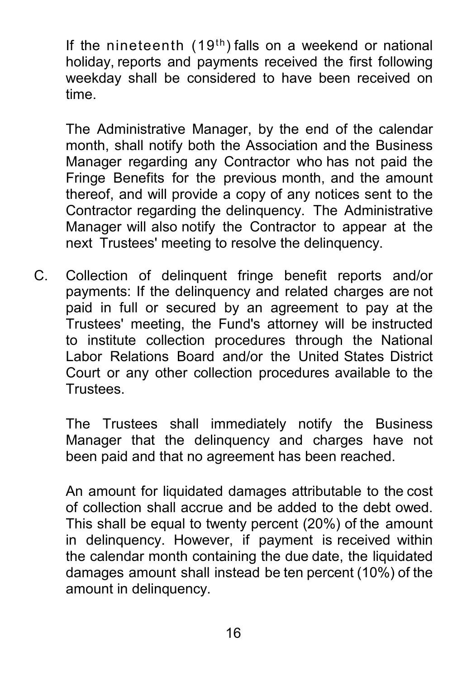If the nineteenth  $(19<sup>th</sup>)$  falls on a weekend or national holiday, reports and payments received the first following weekday shall be considered to have been received on time.

The Administrative Manager, by the end of the calendar month, shall notify both the Association and the Business Manager regarding any Contractor who has not paid the Fringe Benefits for the previous month, and the amount thereof, and will provide a copy of any notices sent to the Contractor regarding the delinquency. The Administrative Manager will also notify the Contractor to appear at the next Trustees' meeting to resolve the delinquency.

C. Collection of delinquent fringe benefit reports and/or payments: If the delinquency and related charges are not paid in full or secured by an agreement to pay at the Trustees' meeting, the Fund's attorney will be instructed to institute collection procedures through the National Labor Relations Board and/or the United States District Court or any other collection procedures available to the Trustees.

The Trustees shall immediately notify the Business Manager that the delinquency and charges have not been paid and that no agreement has been reached.

An amount for liquidated damages attributable to the cost of collection shall accrue and be added to the debt owed. This shall be equal to twenty percent (20%) of the amount in delinquency. However, if payment is received within the calendar month containing the due date, the liquidated damages amount shall instead be ten percent (10%) of the amount in delinquency.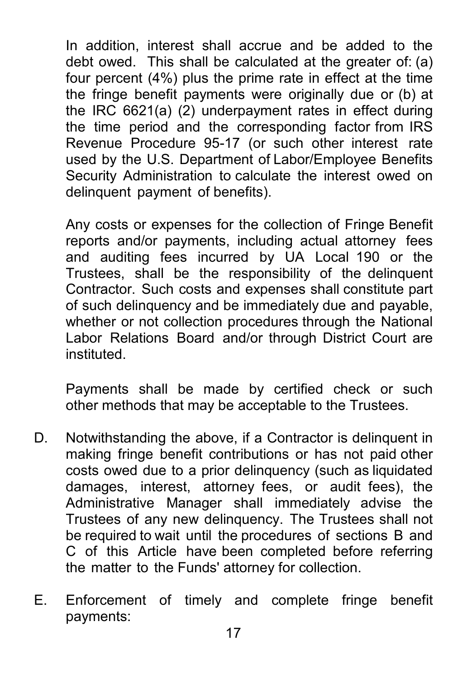In addition, interest shall accrue and be added to the debt owed. This shall be calculated at the greater of: (a) four percent (4%) plus the prime rate in effect at the time the fringe benefit payments were originally due or (b) at the IRC 6621(a) (2) underpayment rates in effect during the time period and the corresponding factor from IRS Revenue Procedure 95-17 (or such other interest rate used by the U.S. Department of Labor/Employee Benefits Security Administration to calculate the interest owed on delinquent payment of benefits).

Any costs or expenses for the collection of Fringe Benefit reports and/or payments, including actual attorney fees and auditing fees incurred by UA Local 190 or the Trustees, shall be the responsibility of the delinquent Contractor. Such costs and expenses shall constitute part of such delinquency and be immediately due and payable, whether or not collection procedures through the National Labor Relations Board and/or through District Court are instituted.

Payments shall be made by certified check or such other methods that may be acceptable to the Trustees.

- D. Notwithstanding the above, if a Contractor is delinquent in making fringe benefit contributions or has not paid other costs owed due to a prior delinquency (such as liquidated damages, interest, attorney fees, or audit fees), the Administrative Manager shall immediately advise the Trustees of any new delinquency. The Trustees shall not be required to wait until the procedures of sections B and C of this Article have been completed before referring the matter to the Funds' attorney for collection.
- E. Enforcement of timely and complete fringe benefit payments: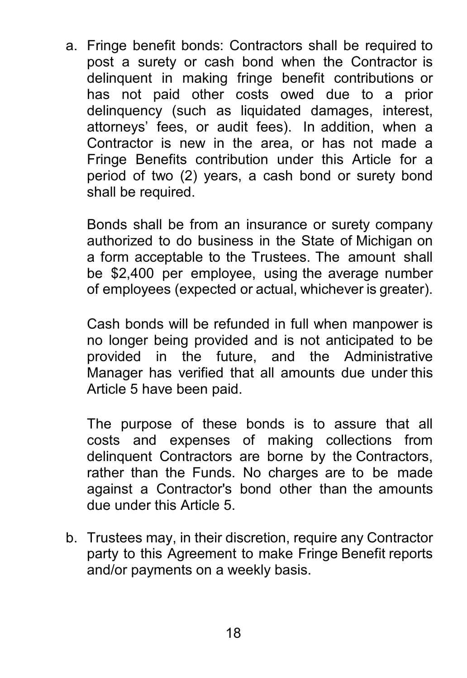a. Fringe benefit bonds: Contractors shall be required to post a surety or cash bond when the Contractor is delinquent in making fringe benefit contributions or has not paid other costs owed due to a prior delinquency (such as liquidated damages, interest, attorneys' fees, or audit fees). In addition, when a Contractor is new in the area, or has not made a Fringe Benefits contribution under this Article for a period of two (2) years, a cash bond or surety bond shall be required.

Bonds shall be from an insurance or surety company authorized to do business in the State of Michigan on a form acceptable to the Trustees. The amount shall be \$2,400 per employee, using the average number of employees (expected or actual, whichever is greater).

Cash bonds will be refunded in full when manpower is no longer being provided and is not anticipated to be provided in the future, and the Administrative Manager has verified that all amounts due under this Article 5 have been paid.

The purpose of these bonds is to assure that all costs and expenses of making collections from delinquent Contractors are borne by the Contractors, rather than the Funds. No charges are to be made against a Contractor's bond other than the amounts due under this Article 5.

b. Trustees may, in their discretion, require any Contractor party to this Agreement to make Fringe Benefit reports and/or payments on a weekly basis.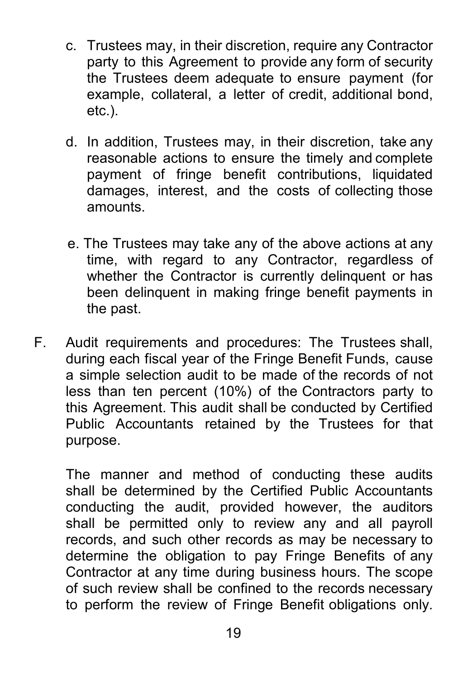- c. Trustees may, in their discretion, require any Contractor party to this Agreement to provide any form of security the Trustees deem adequate to ensure payment (for example, collateral, a letter of credit, additional bond, etc.).
- d. In addition, Trustees may, in their discretion, take any reasonable actions to ensure the timely and complete payment of fringe benefit contributions, liquidated damages, interest, and the costs of collecting those amounts.
- e. The Trustees may take any of the above actions at any time, with regard to any Contractor, regardless of whether the Contractor is currently delinquent or has been delinquent in making fringe benefit payments in the past.
- F. Audit requirements and procedures: The Trustees shall, during each fiscal year of the Fringe Benefit Funds, cause a simple selection audit to be made of the records of not less than ten percent (10%) of the Contractors party to this Agreement. This audit shall be conducted by Certified Public Accountants retained by the Trustees for that purpose.

The manner and method of conducting these audits shall be determined by the Certified Public Accountants conducting the audit, provided however, the auditors shall be permitted only to review any and all payroll records, and such other records as may be necessary to determine the obligation to pay Fringe Benefits of any Contractor at any time during business hours. The scope of such review shall be confined to the records necessary to perform the review of Fringe Benefit obligations only.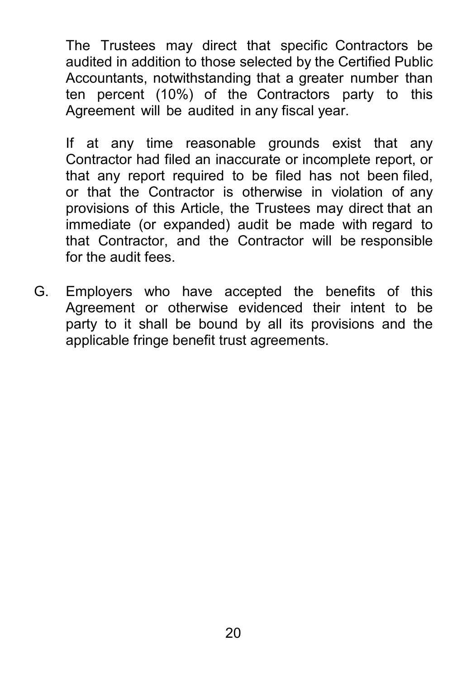The Trustees may direct that specific Contractors be audited in addition to those selected by the Certified Public Accountants, notwithstanding that a greater number than ten percent (10%) of the Contractors party to this Agreement will be audited in any fiscal year.

If at any time reasonable grounds exist that any Contractor had filed an inaccurate or incomplete report, or that any report required to be filed has not been filed, or that the Contractor is otherwise in violation of any provisions of this Article, the Trustees may direct that an immediate (or expanded) audit be made with regard to that Contractor, and the Contractor will be responsible for the audit fees.

<span id="page-21-0"></span>G. Employers who have accepted the benefits of this Agreement or otherwise evidenced their intent to be party to it shall be bound by all its provisions and the applicable fringe benefit trust agreements.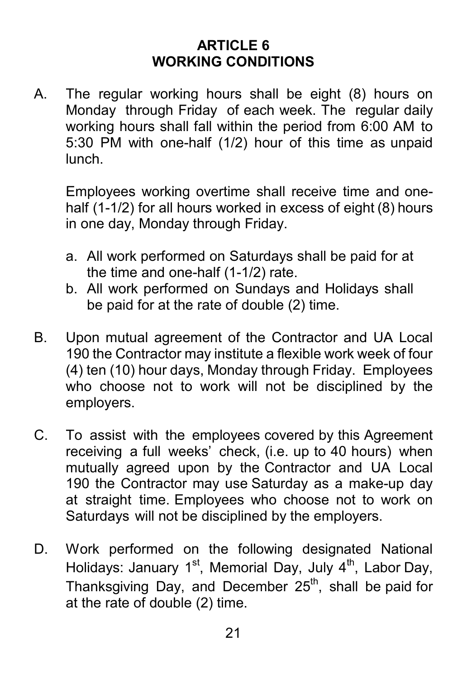## **ARTICLE 6 WORKING CONDITIONS**

A. The regular working hours shall be eight (8) hours on Monday through Friday of each week. The regular daily working hours shall fall within the period from 6:00 AM to 5:30 PM with one-half (1/2) hour of this time as unpaid lunch.

Employees working overtime shall receive time and onehalf (1-1/2) for all hours worked in excess of eight (8) hours in one day, Monday through Friday.

- a. All work performed on Saturdays shall be paid for at the time and one-half (1-1/2) rate.
- b. All work performed on Sundays and Holidays shall be paid for at the rate of double (2) time.
- B. Upon mutual agreement of the Contractor and UA Local 190 the Contractor may institute a flexible work week of four (4) ten (10) hour days, Monday through Friday. Employees who choose not to work will not be disciplined by the employers.
- C. To assist with the employees covered by this Agreement receiving a full weeks' check, (i.e. up to 40 hours) when mutually agreed upon by the Contractor and UA Local 190 the Contractor may use Saturday as a make-up day at straight time. Employees who choose not to work on Saturdays will not be disciplined by the employers.
- D. Work performed on the following designated National Holidays: January 1<sup>st</sup>, Memorial Day, July 4<sup>th</sup>, Labor Day, Thanksgiving Day, and December 25<sup>th</sup>, shall be paid for at the rate of double (2) time.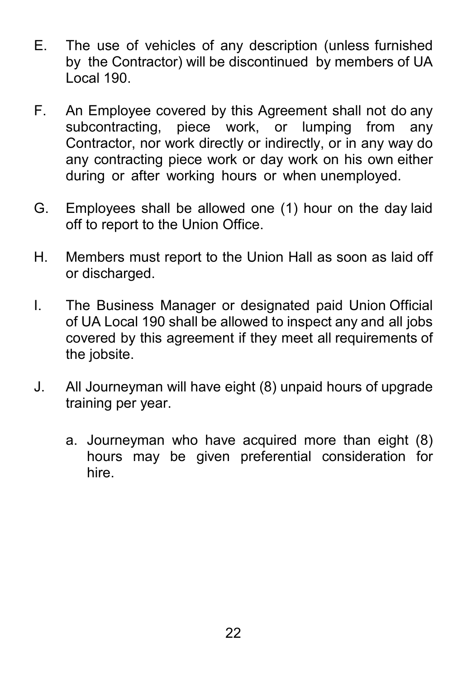- E. The use of vehicles of any description (unless furnished by the Contractor) will be discontinued by members of UA Local 190.
- F. An Employee covered by this Agreement shall not do any subcontracting, piece work, or lumping from any Contractor, nor work directly or indirectly, or in any way do any contracting piece work or day work on his own either during or after working hours or when unemployed.
- G. Employees shall be allowed one (1) hour on the day laid off to report to the Union Office.
- H. Members must report to the Union Hall as soon as laid off or discharged.
- I. The Business Manager or designated paid Union Official of UA Local 190 shall be allowed to inspect any and all jobs covered by this agreement if they meet all requirements of the jobsite.
- <span id="page-23-0"></span>J. All Journeyman will have eight (8) unpaid hours of upgrade training per year.
	- a. Journeyman who have acquired more than eight (8) hours may be given preferential consideration for hire.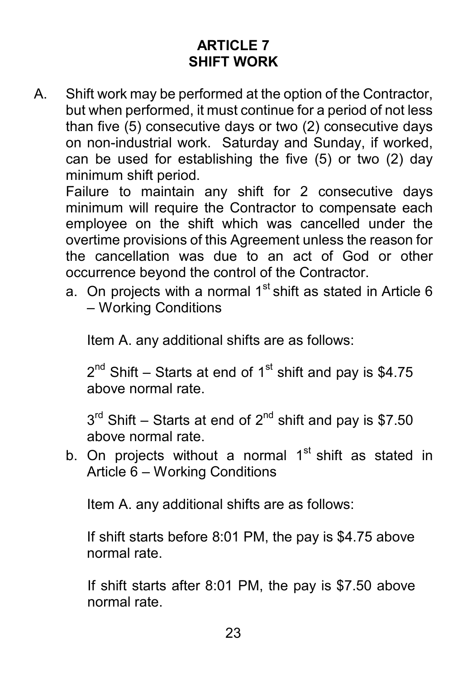# **ARTICLE 7 SHIFT WORK**

A. Shift work may be performed at the option of the Contractor, but when performed, it must continue for a period of not less than five (5) consecutive days or two (2) consecutive days on non-industrial work. Saturday and Sunday, if worked, can be used for establishing the five (5) or two (2) day minimum shift period.

Failure to maintain any shift for 2 consecutive days minimum will require the Contractor to compensate each employee on the shift which was cancelled under the overtime provisions of this Agreement unless the reason for the cancellation was due to an act of God or other occurrence beyond the control of the Contractor.

a. On projects with a normal  $1<sup>st</sup>$  shift as stated in Article 6 – Working Conditions

Item A. any additional shifts are as follows:

 $2^{nd}$  Shift – Starts at end of 1<sup>st</sup> shift and pay is \$4.75 above normal rate.

 $3<sup>rd</sup>$  Shift – Starts at end of  $2<sup>nd</sup>$  shift and pay is \$7.50 above normal rate.

b. On projects without a normal  $1<sup>st</sup>$  shift as stated in Article 6 – Working Conditions

Item A. any additional shifts are as follows:

If shift starts before 8:01 PM, the pay is \$4.75 above normal rate.

If shift starts after 8:01 PM, the pay is \$7.50 above normal rate.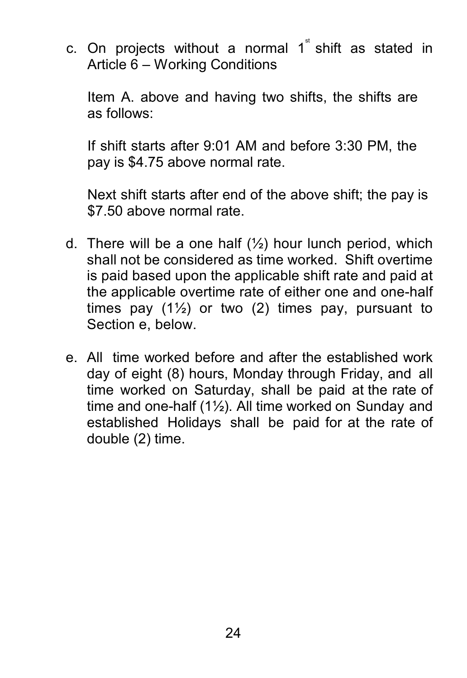c. On projects without a normal  $1^{\mathrm{s}}$  shift as stated in Article 6 – Working Conditions

Item A. above and having two shifts, the shifts are as follows:

If shift starts after 9:01 AM and before 3:30 PM, the pay is \$4.75 above normal rate.

Next shift starts after end of the above shift; the pay is \$7.50 above normal rate.

- d. There will be a one half  $(\frac{1}{2})$  hour lunch period, which shall not be considered as time worked. Shift overtime is paid based upon the applicable shift rate and paid at the applicable overtime rate of either one and one-half times pay  $(1\frac{1}{2})$  or two  $(2)$  times pay, pursuant to Section e, below.
- <span id="page-25-0"></span>e. All time worked before and after the established work day of eight (8) hours, Monday through Friday, and all time worked on Saturday, shall be paid at the rate of time and one-half  $(1\frac{1}{2})$ . All time worked on Sunday and established Holidays shall be paid for at the rate of double (2) time.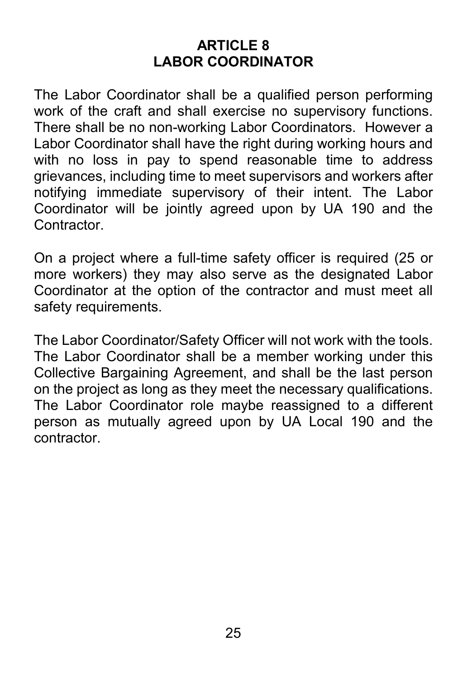# **ARTICLE 8 LABOR COORDINATOR**

The Labor Coordinator shall be a qualified person performing work of the craft and shall exercise no supervisory functions. There shall be no non-working Labor Coordinators. However a Labor Coordinator shall have the right during working hours and with no loss in pay to spend reasonable time to address grievances, including time to meet supervisors and workers after notifying immediate supervisory of their intent. The Labor Coordinator will be jointly agreed upon by UA 190 and the Contractor.

On a project where a full-time safety officer is required (25 or more workers) they may also serve as the designated Labor Coordinator at the option of the contractor and must meet all safety requirements.

<span id="page-26-0"></span>The Labor Coordinator/Safety Officer will not work with the tools. The Labor Coordinator shall be a member working under this Collective Bargaining Agreement, and shall be the last person on the project as long as they meet the necessary qualifications. The Labor Coordinator role maybe reassigned to a different person as mutually agreed upon by UA Local 190 and the contractor.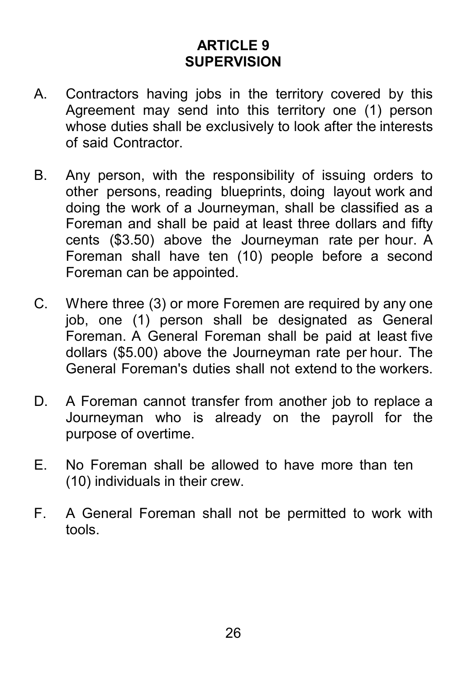# **ARTICLE 9 SUPERVISION**

- A. Contractors having jobs in the territory covered by this Agreement may send into this territory one (1) person whose duties shall be exclusively to look after the interests of said Contractor.
- B. Any person, with the responsibility of issuing orders to other persons, reading blueprints, doing layout work and doing the work of a Journeyman, shall be classified as a Foreman and shall be paid at least three dollars and fifty cents (\$3.50) above the Journeyman rate per hour. A Foreman shall have ten (10) people before a second Foreman can be appointed.
- C. Where three (3) or more Foremen are required by any one job, one (1) person shall be designated as General Foreman. A General Foreman shall be paid at least five dollars (\$5.00) above the Journeyman rate per hour. The General Foreman's duties shall not extend to the workers.
- D. A Foreman cannot transfer from another job to replace a Journeyman who is already on the payroll for the purpose of overtime.
- E. No Foreman shall be allowed to have more than ten (10) individuals in their crew.
- <span id="page-27-0"></span>F. A General Foreman shall not be permitted to work with tools.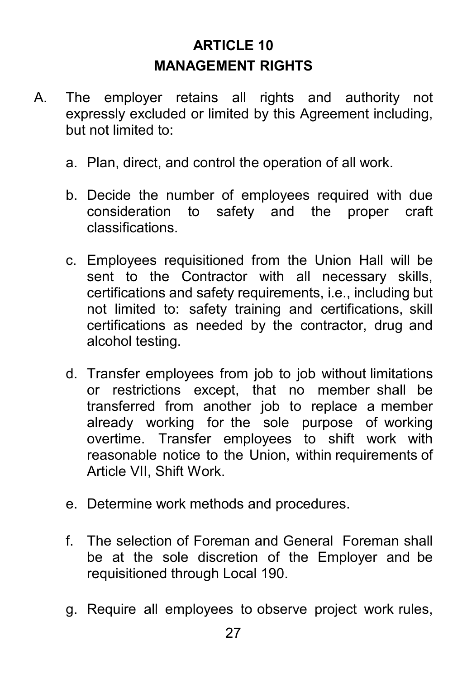# **ARTICLE 10 MANAGEMENT RIGHTS**

- A. The employer retains all rights and authority not expressly excluded or limited by this Agreement including, but not limited to:
	- a. Plan, direct, and control the operation of all work.
	- b. Decide the number of employees required with due consideration to safety and the proper craft classifications.
	- c. Employees requisitioned from the Union Hall will be sent to the Contractor with all necessary skills, certifications and safety requirements, i.e., including but not limited to: safety training and certifications, skill certifications as needed by the contractor, drug and alcohol testing.
	- d. Transfer employees from job to job without limitations or restrictions except, that no member shall be transferred from another job to replace a member already working for the sole purpose of working overtime. Transfer employees to shift work with reasonable notice to the Union, within requirements of Article VII, Shift Work.
	- e. Determine work methods and procedures.
	- f. The selection of Foreman and General Foreman shall be at the sole discretion of the Employer and be requisitioned through Local 190.
	- g. Require all employees to observe project work rules,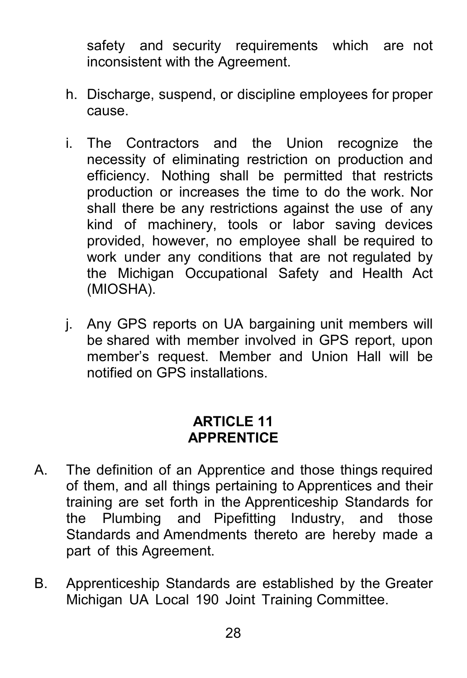safety and security requirements which are not inconsistent with the Agreement.

- h. Discharge, suspend, or discipline employees for proper cause.
- i. The Contractors and the Union recognize the necessity of eliminating restriction on production and efficiency. Nothing shall be permitted that restricts production or increases the time to do the work. Nor shall there be any restrictions against the use of any kind of machinery, tools or labor saving devices provided, however, no employee shall be required to work under any conditions that are not regulated by the Michigan Occupational Safety and Health Act (MIOSHA).
- <span id="page-29-0"></span>j. Any GPS reports on UA bargaining unit members will be shared with member involved in GPS report, upon member's request. Member and Union Hall will be notified on GPS installations.

#### **ARTICLE 11 APPRENTICE**

- A. The definition of an Apprentice and those things required of them, and all things pertaining to Apprentices and their training are set forth in the Apprenticeship Standards for the Plumbing and Pipefitting Industry, and those Standards and Amendments thereto are hereby made a part of this Agreement.
- B. Apprenticeship Standards are established by the Greater Michigan UA Local 190 Joint Training Committee.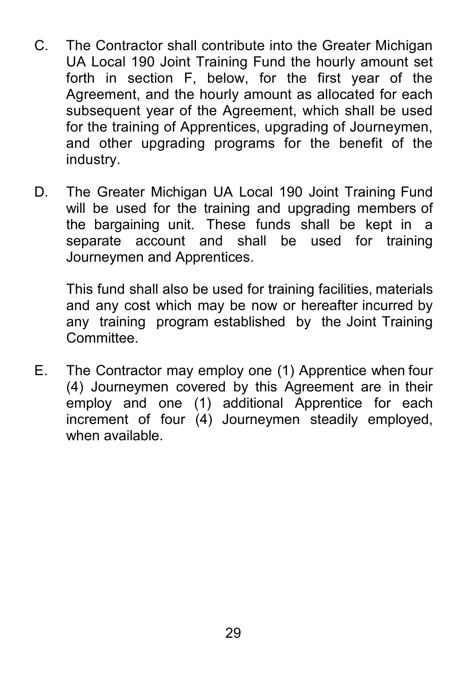- C. The Contractor shall contribute into the Greater Michigan UA Local 190 Joint Training Fund the hourly amount set forth in section F, below, for the first year of the Agreement, and the hourly amount as allocated for each subsequent year of the Agreement, which shall be used for the training of Apprentices, upgrading of Journeymen, and other upgrading programs for the benefit of the industry.
- D. The Greater Michigan UA Local 190 Joint Training Fund will be used for the training and upgrading members of the bargaining unit. These funds shall be kept in a separate account and shall be used for training Journeymen and Apprentices.

This fund shall also be used for training facilities, materials and any cost which may be now or hereafter incurred by any training program established by the Joint Training **Committee** 

E. The Contractor may employ one (1) Apprentice when four (4) Journeymen covered by this Agreement are in their employ and one (1) additional Apprentice for each increment of four (4) Journeymen steadily employed, when available.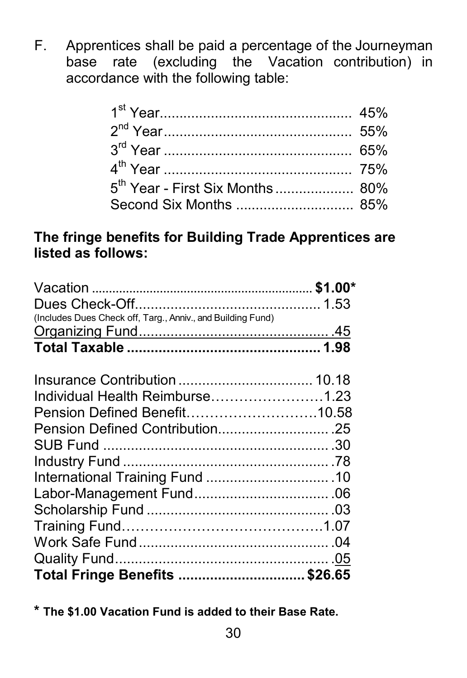F. Apprentices shall be paid a percentage of the Journeyman base rate (excluding the Vacation contribution) in accordance with the following table:

| 5 <sup>th</sup> Year - First Six Months 80% |  |
|---------------------------------------------|--|
|                                             |  |

### **The fringe benefits for Building Trade Apprentices are listed as follows:**

| (Includes Dues Check off, Targ., Anniv., and Building Fund) |  |
|-------------------------------------------------------------|--|
|                                                             |  |
|                                                             |  |
|                                                             |  |
|                                                             |  |
| Individual Health Reimburse1.23                             |  |
| Pension Defined Benefit10.58                                |  |
|                                                             |  |
|                                                             |  |
|                                                             |  |
|                                                             |  |
|                                                             |  |
|                                                             |  |
|                                                             |  |
|                                                             |  |
|                                                             |  |
| Total Fringe Benefits  \$26.65                              |  |

<span id="page-31-0"></span>**\* The \$1.00 Vacation Fund is added to their Base Rate.**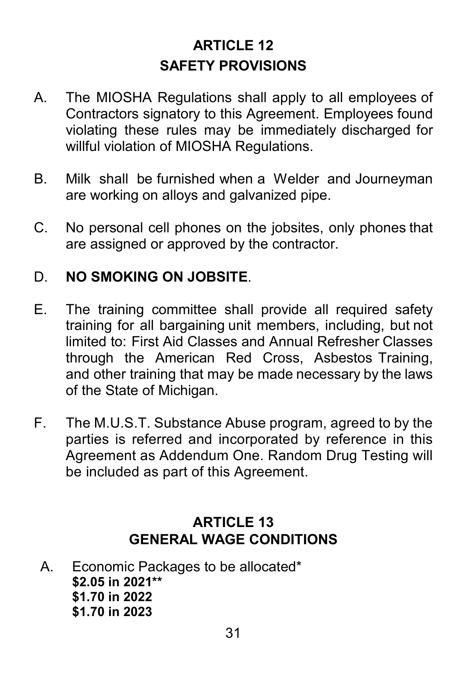# **ARTICLE 12 SAFETY PROVISIONS**

- A. The MIOSHA Regulations shall apply to all employees of Contractors signatory to this Agreement. Employees found violating these rules may be immediately discharged for willful violation of MIOSHA Regulations.
- B. Milk shall be furnished when a Welder and Journeyman are working on alloys and galvanized pipe.
- C. No personal cell phones on the jobsites, only phones that are assigned or approved by the contractor.

#### D. **NO SMOKING ON JOBSITE**.

- E. The training committee shall provide all required safety training for all bargaining unit members, including, but not limited to: First Aid Classes and Annual Refresher Classes through the American Red Cross, Asbestos Training, and other training that may be made necessary by the laws of the State of Michigan.
- F. The M.U.S.T. Substance Abuse program, agreed to by the parties is referred and incorporated by reference in this Agreement as Addendum One. Random Drug Testing will be included as part of this Agreement.

# **ARTICLE 13 GENERAL WAGE CONDITIONS**

A. Economic Packages to be allocated\* **\$2.05 in 2021\*\* \$1.70 in 2022 \$1.70 in 2023**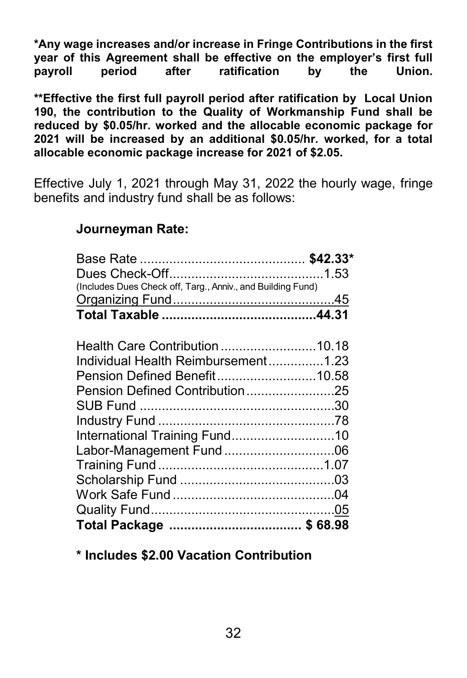**\*Any wage increases and/or increase in Fringe Contributions in the first year of this Agreement shall be effective on the employer's first full payroll period after ratification by** 

**\*\*Effective the first full payroll period after ratification by Local Union 190, the contribution to the Quality of Workmanship Fund shall be reduced by \$0.05/hr. worked and the allocable economic package for 2021 will be increased by an additional \$0.05/hr. worked, for a total allocable economic package increase for 2021 of \$2.05.**

Effective July 1, 2021 through May 31, 2022 the hourly wage, fringe benefits and industry fund shall be as follows:

#### **Journeyman Rate:**

| (Includes Dues Check off, Targ., Anniv., and Building Fund) |  |
|-------------------------------------------------------------|--|
|                                                             |  |
|                                                             |  |
|                                                             |  |
| Health Care Contribution 10.18                              |  |
| Individual Health Reimbursement1.23                         |  |
| Pension Defined Benefit10.58                                |  |
| Pension Defined Contribution25                              |  |
|                                                             |  |
|                                                             |  |
|                                                             |  |
| Labor-Management Fund 06                                    |  |
|                                                             |  |
|                                                             |  |
|                                                             |  |
|                                                             |  |
|                                                             |  |

**\* Includes \$2.00 Vacation Contribution**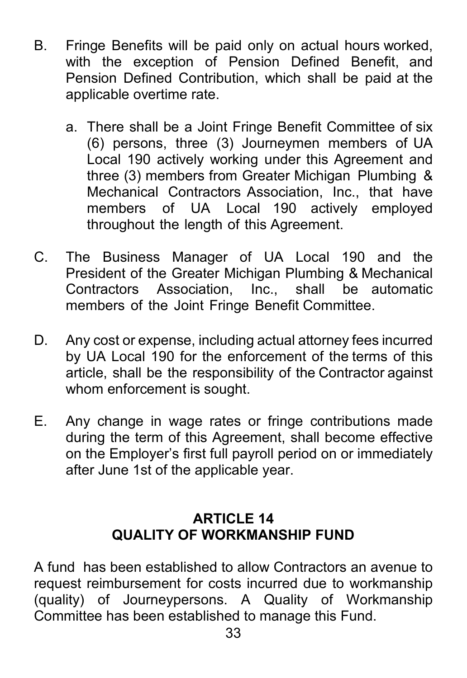- B. Fringe Benefits will be paid only on actual hours worked, with the exception of Pension Defined Benefit, and Pension Defined Contribution, which shall be paid at the applicable overtime rate.
	- a. There shall be a Joint Fringe Benefit Committee of six (6) persons, three (3) Journeymen members of UA Local 190 actively working under this Agreement and three (3) members from Greater Michigan Plumbing & Mechanical Contractors Association, Inc., that have members of UA Local 190 actively employed throughout the length of this Agreement.
- C. The Business Manager of UA Local 190 and the President of the Greater Michigan Plumbing & Mechanical Contractors Association, Inc., shall be automatic members of the Joint Fringe Benefit Committee.
- D. Any cost or expense, including actual attorney fees incurred by UA Local 190 for the enforcement of the terms of this article, shall be the responsibility of the Contractor against whom enforcement is sought.
- E. Any change in wage rates or fringe contributions made during the term of this Agreement, shall become effective on the Employer's first full payroll period on or immediately after June 1st of the applicable year.

#### **ARTICLE 14 QUALITY OF WORKMANSHIP FUND**

A fund has been established to allow Contractors an avenue to request reimbursement for costs incurred due to workmanship (quality) of Journeypersons. A Quality of Workmanship Committee has been established to manage this Fund.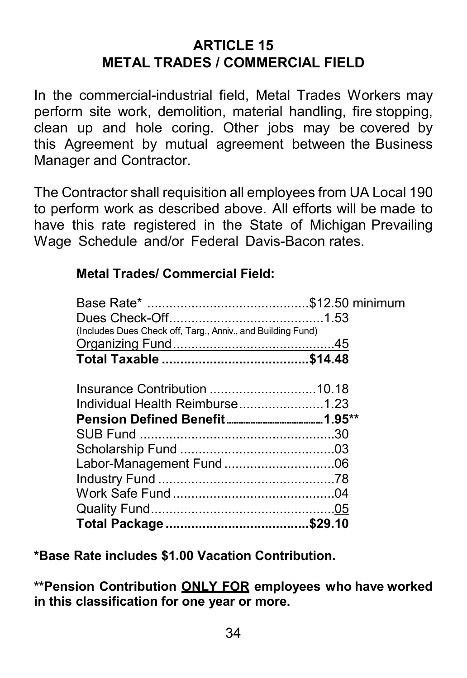# **ARTICLE 15 METAL TRADES / COMMERCIAL FIELD**

In the commercial-industrial field, Metal Trades Workers may perform site work, demolition, material handling, fire stopping, clean up and hole coring. Other jobs may be covered by this Agreement by mutual agreement between the Business Manager and Contractor.

The Contractor shall requisition all employees from UA Local 190 to perform work as described above. All efforts will be made to have this rate registered in the State of Michigan Prevailing Wage Schedule and/or Federal Davis-Bacon rates.

#### **Metal Trades/ Commercial Field:**

| (Includes Dues Check off, Targ., Anniv., and Building Fund) |  |
|-------------------------------------------------------------|--|
|                                                             |  |
|                                                             |  |
|                                                             |  |
|                                                             |  |
| Individual Health Reimburse1.23                             |  |
|                                                             |  |
|                                                             |  |
|                                                             |  |
| Labor-Management Fund 06                                    |  |
|                                                             |  |
|                                                             |  |
|                                                             |  |
|                                                             |  |

**\*Base Rate includes \$1.00 Vacation Contribution.**

**\*\*Pension Contribution ONLY FOR employees who have worked in this classification for one year or more.**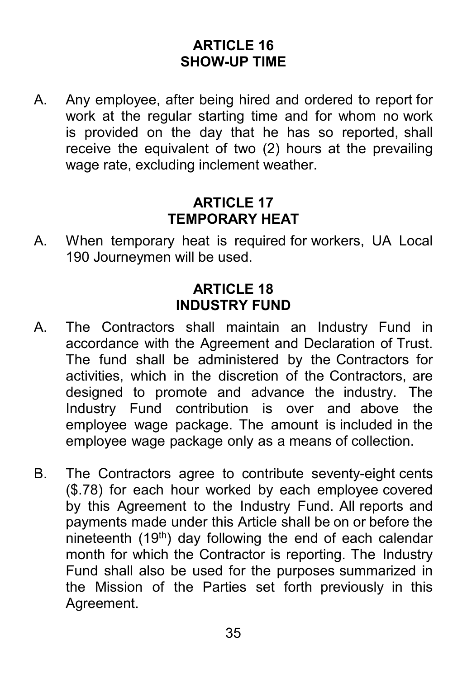### **ARTICLE 16 SHOW-UP TIME**

A. Any employee, after being hired and ordered to report for work at the regular starting time and for whom no work is provided on the day that he has so reported, shall receive the equivalent of two (2) hours at the prevailing wage rate, excluding inclement weather.

#### **ARTICLE 17 TEMPORARY HEAT**

<span id="page-36-0"></span>A. When temporary heat is required for workers, UA Local 190 Journeymen will be used.

#### **ARTICLE 18 INDUSTRY FUND**

- <span id="page-36-1"></span>A. The Contractors shall maintain an Industry Fund in accordance with the Agreement and Declaration of Trust. The fund shall be administered by the Contractors for activities, which in the discretion of the Contractors, are designed to promote and advance the industry. The Industry Fund contribution is over and above the employee wage package. The amount is included in the employee wage package only as a means of collection.
- <span id="page-36-2"></span>B. The Contractors agree to contribute seventy-eight cents (\$.78) for each hour worked by each employee covered by this Agreement to the Industry Fund. All reports and payments made under this Article shall be on or before the nineteenth  $(19<sup>th</sup>)$  day following the end of each calendar month for which the Contractor is reporting. The Industry Fund shall also be used for the purposes summarized in the Mission of the Parties set forth previously in this Agreement.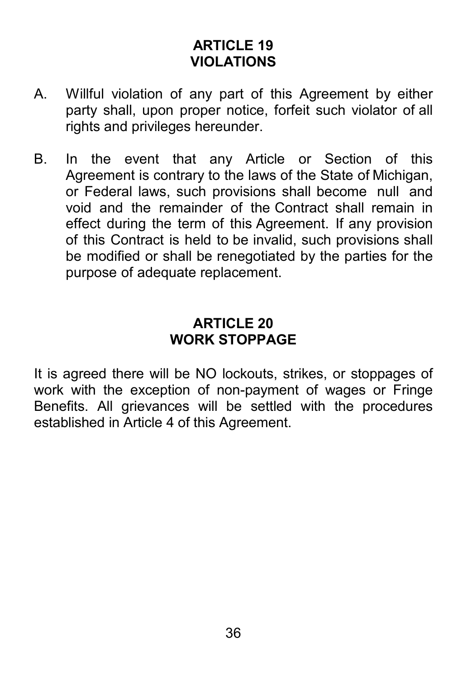# **ARTICLE 19 VIOLATIONS**

- A. Willful violation of any part of this Agreement by either party shall, upon proper notice, forfeit such violator of all rights and privileges hereunder.
- B. In the event that any Article or Section of this Agreement is contrary to the laws of the State of Michigan, or Federal laws, such provisions shall become null and void and the remainder of the Contract shall remain in effect during the term of this Agreement. If any provision of this Contract is held to be invalid, such provisions shall be modified or shall be renegotiated by the parties for the purpose of adequate replacement.

#### **ARTICLE 20 WORK STOPPAGE**

It is agreed there will be NO lockouts, strikes, or stoppages of work with the exception of non-payment of wages or Fringe Benefits. All grievances will be settled with the procedures established in Article 4 of this Agreement.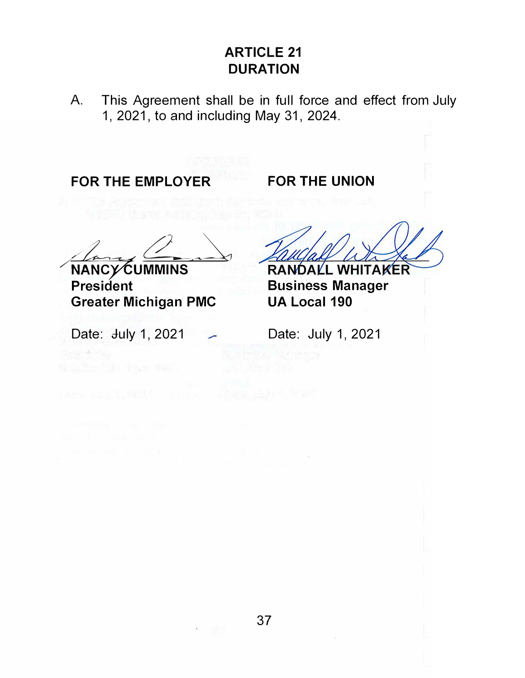# **ARTICLE 21 DURATION**

A. This Agreement shall be in full force and effect from July 1, 2021, to and including May 31, 2024.

**FOR THE EMPLOYER** 

**FOR THE UNION** 

**NANCY CUMMINS** 

**President Greater Michigan PMC** 

Date: **July 1, 2021** 

Separations:

RANDALL WHITAKER **Business Manager UA Local 190** 

Date: July 1, 2021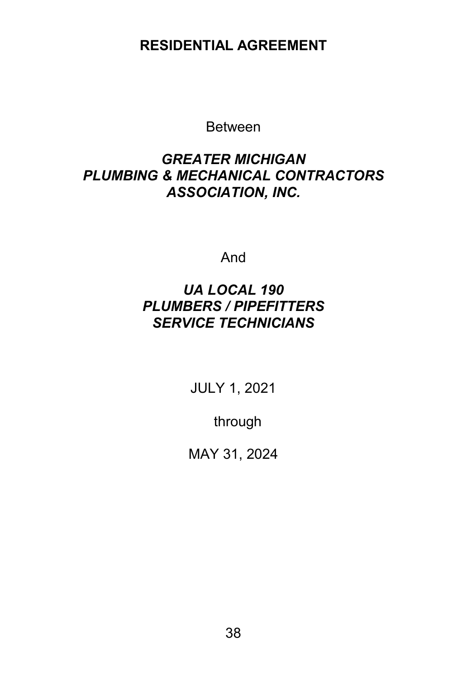#### **RESIDENTIAL AGREEMENT**

Between

#### *GREATER MICHIGAN PLUMBING & MECHANICAL CONTRACTORS ASSOCIATION, INC.*

And

#### *UA LOCAL 190 PLUMBERS / PIPEFITTERS SERVICE TECHNICIANS*

JULY 1, 2021

through

MAY 31, 2024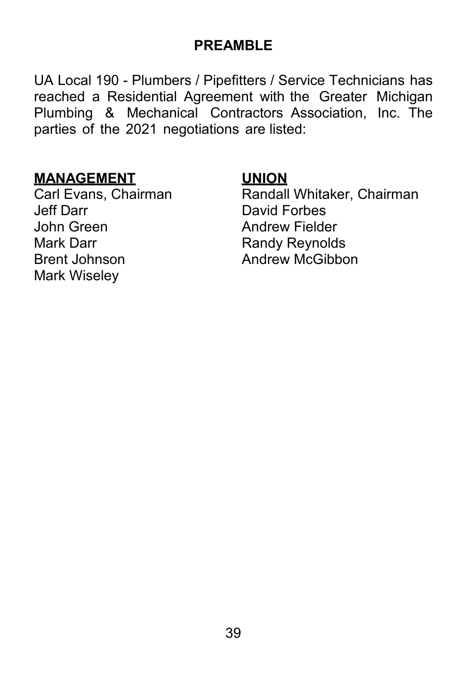### **PREAMBLE**

UA Local 190 - Plumbers / Pipefitters / Service Technicians has reached a Residential Agreement with the Greater Michigan Plumbing & Mechanical Contractors Association, Inc. The parties of the 2021 negotiations are listed:

#### **MANAGEMENT UNION**

<span id="page-40-0"></span>Jeff Darr David Forbes John Green **Andrew Fielder** Mark Darr **Randy Reynolds** Brent Johnson **Andrew McGibbon** Mark Wiseley

Carl Evans, Chairman Randall Whitaker, Chairman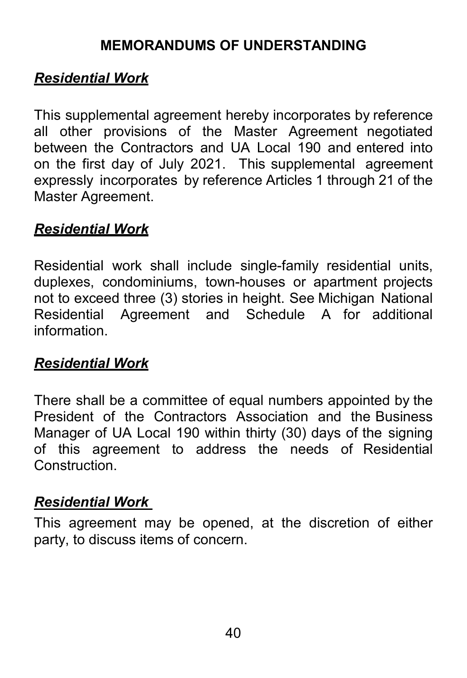### **MEMORANDUMS OF UNDERSTANDING**

# *Residential Work*

This supplemental agreement hereby incorporates by reference all other provisions of the Master Agreement negotiated between the Contractors and UA Local 190 and entered into on the first day of July 2021. This supplemental agreement expressly incorporates by reference Articles 1 through 21 of the Master Agreement.

# *Residential Work*

Residential work shall include single-family residential units, duplexes, condominiums, town-houses or apartment projects not to exceed three (3) stories in height. See Michigan National Residential Agreement and Schedule A for additional information.

### *Residential Work*

There shall be a committee of equal numbers appointed by the President of the Contractors Association and the Business Manager of UA Local 190 within thirty (30) days of the signing of this agreement to address the needs of Residential **Construction** 

#### *Residential Work*

This agreement may be opened, at the discretion of either party, to discuss items of concern.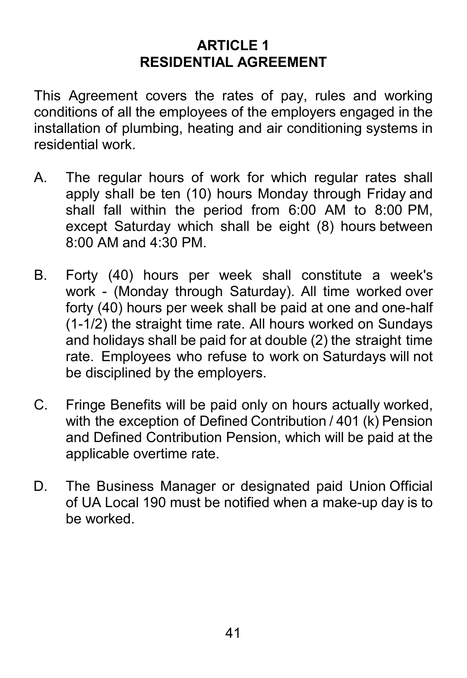## **ARTICLE 1 RESIDENTIAL AGREEMENT**

This Agreement covers the rates of pay, rules and working conditions of all the employees of the employers engaged in the installation of plumbing, heating and air conditioning systems in residential work.

- A. The regular hours of work for which regular rates shall apply shall be ten (10) hours Monday through Friday and shall fall within the period from 6:00 AM to 8:00 PM, except Saturday which shall be eight (8) hours between 8:00 AM and 4:30 PM.
- B. Forty (40) hours per week shall constitute a week's work - (Monday through Saturday). All time worked over forty (40) hours per week shall be paid at one and one-half (1-1/2) the straight time rate. All hours worked on Sundays and holidays shall be paid for at double (2) the straight time rate. Employees who refuse to work on Saturdays will not be disciplined by the employers.
- C. Fringe Benefits will be paid only on hours actually worked, with the exception of Defined Contribution / 401 (k) Pension and Defined Contribution Pension, which will be paid at the applicable overtime rate.
- D. The Business Manager or designated paid Union Official of UA Local 190 must be notified when a make-up day is to be worked.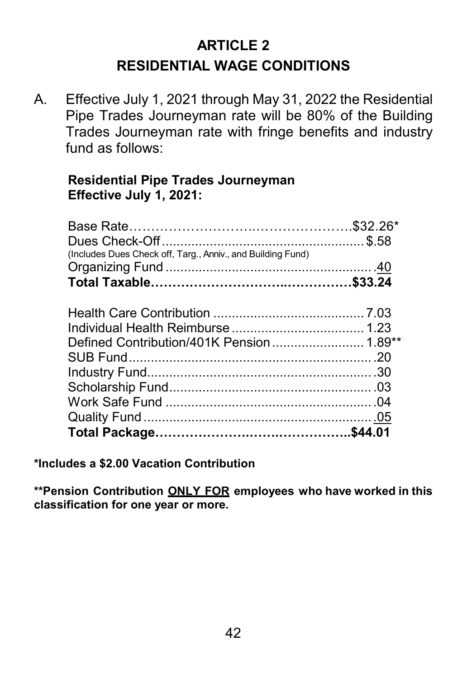# **ARTICLE 2 RESIDENTIAL WAGE CONDITIONS**

A. Effective July 1, 2021 through May 31, 2022 the Residential Pipe Trades Journeyman rate will be 80% of the Building Trades Journeyman rate with fringe benefits and industry fund as follows:

#### **Residential Pipe Trades Journeyman Effective July 1, 2021:**

| (Includes Dues Check off, Targ., Anniv., and Building Fund) |  |
|-------------------------------------------------------------|--|
|                                                             |  |
|                                                             |  |
|                                                             |  |
|                                                             |  |
|                                                             |  |
|                                                             |  |
|                                                             |  |
|                                                             |  |
|                                                             |  |
|                                                             |  |
|                                                             |  |
|                                                             |  |

**\*Includes a \$2.00 Vacation Contribution**

**\*\*Pension Contribution ONLY FOR employees who have worked in this classification for one year or more.**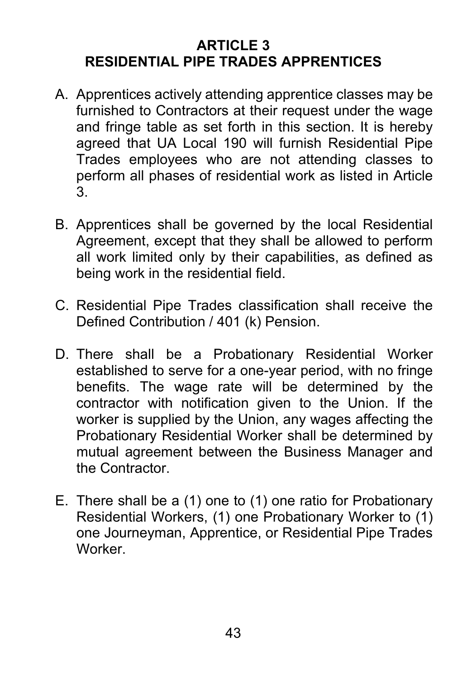# **ARTICLE 3 RESIDENTIAL PIPE TRADES APPRENTICES**

- A. Apprentices actively attending apprentice classes may be furnished to Contractors at their request under the wage and fringe table as set forth in this section. It is hereby agreed that UA Local 190 will furnish Residential Pipe Trades employees who are not attending classes to perform all phases of residential work as listed in Article 3.
- B. Apprentices shall be governed by the local Residential Agreement, except that they shall be allowed to perform all work limited only by their capabilities, as defined as being work in the residential field.
- C. Residential Pipe Trades classification shall receive the Defined Contribution / 401 (k) Pension.
- D. There shall be a Probationary Residential Worker established to serve for a one-year period, with no fringe benefits. The wage rate will be determined by the contractor with notification given to the Union. If the worker is supplied by the Union, any wages affecting the Probationary Residential Worker shall be determined by mutual agreement between the Business Manager and the Contractor.
- E. There shall be a (1) one to (1) one ratio for Probationary Residential Workers, (1) one Probationary Worker to (1) one Journeyman, Apprentice, or Residential Pipe Trades Worker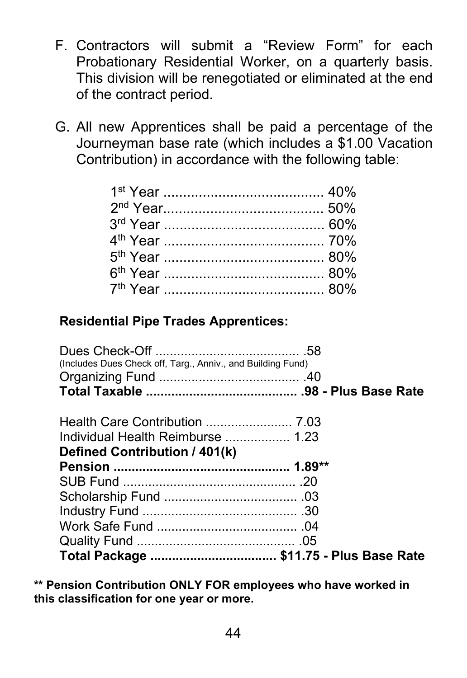- F. Contractors will submit a "Review Form" for each Probationary Residential Worker, on a quarterly basis. This division will be renegotiated or eliminated at the end of the contract period.
- G. All new Apprentices shall be paid a percentage of the Journeyman base rate (which includes a \$1.00 Vacation Contribution) in accordance with the following table:

#### **Residential Pipe Trades Apprentices:**

| Defined Contribution / 401(k)                               |  |
|-------------------------------------------------------------|--|
| Individual Health Reimburse  1.23                           |  |
|                                                             |  |
|                                                             |  |
|                                                             |  |
| (Includes Dues Check off, Targ., Anniv., and Building Fund) |  |
|                                                             |  |
|                                                             |  |

**\*\* Pension Contribution ONLY FOR employees who have worked in this classification for one year or more.**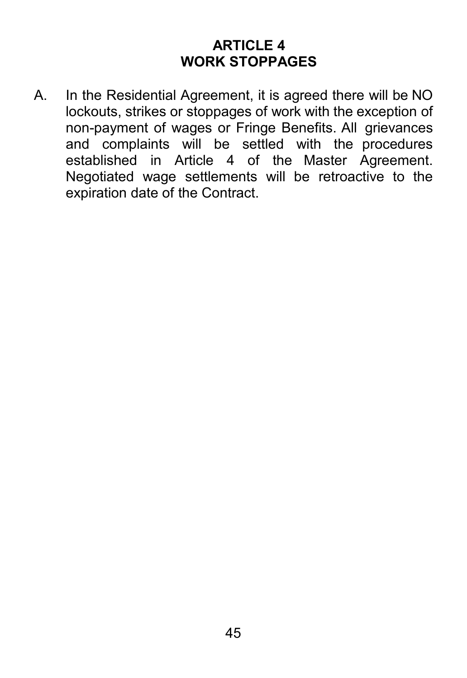### **ARTICLE 4 WORK STOPPAGES**

<span id="page-46-0"></span>A. In the Residential Agreement, it is agreed there will be NO lockouts, strikes or stoppages of work with the exception of non-payment of wages or Fringe Benefits. All grievances and complaints will be settled with the procedures established in Article 4 of the Master Agreement. Negotiated wage settlements will be retroactive to the expiration date of the Contract.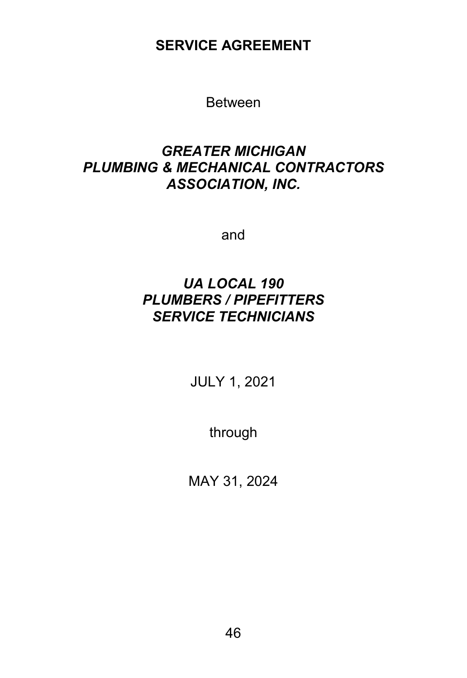**SERVICE AGREEMENT**

Between

#### *GREATER MICHIGAN PLUMBING & MECHANICAL CONTRACTORS ASSOCIATION, INC.*

and

#### *UA LOCAL 190 PLUMBERS / PIPEFITTERS SERVICE TECHNICIANS*

JULY 1, 2021

through

MAY 31, 2024

46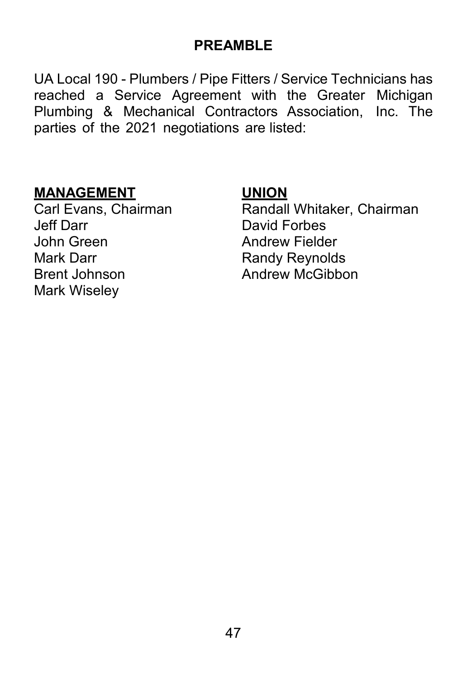#### **PREAMBLE**

UA Local 190 - Plumbers / Pipe Fitters / Service Technicians has reached a Service Agreement with the Greater Michigan Plumbing & Mechanical Contractors Association, Inc. The parties of the 2021 negotiations are listed:

**MANAGEMENT UNION** John Green Andrew Fielder<br>Mark Darr Andrew Randy Revnold Brent Johnson **Andrew McGibbon** Mark Wiseley

<span id="page-48-0"></span>Carl Evans, Chairman **Randall Whitaker, Chairman**<br>
Jeff Darr **David Forbes** David Forbes **Randy Reynolds**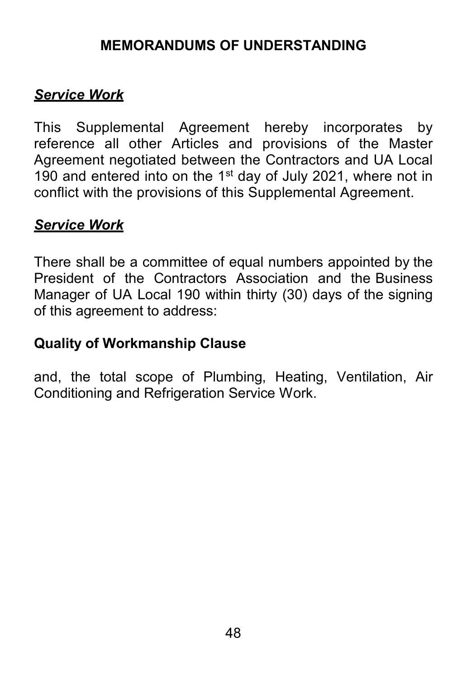### **MEMORANDUMS OF UNDERSTANDING**

### *Service Work*

This Supplemental Agreement hereby incorporates by reference all other Articles and provisions of the Master Agreement negotiated between the Contractors and UA Local 190 and entered into on the  $1<sup>st</sup>$  day of July 2021, where not in conflict with the provisions of this Supplemental Agreement.

#### *Service Work*

There shall be a committee of equal numbers appointed by the President of the Contractors Association and the Business Manager of UA Local 190 within thirty (30) days of the signing of this agreement to address:

### **Quality of Workmanship Clause**

and, the total scope of Plumbing, Heating, Ventilation, Air Conditioning and Refrigeration Service Work.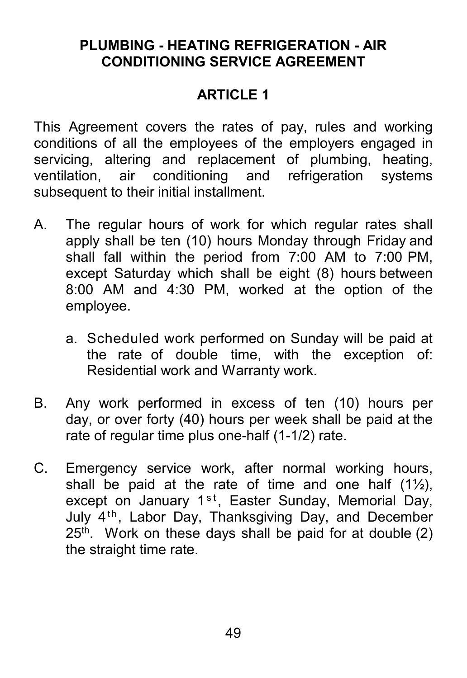### **PLUMBING - HEATING REFRIGERATION - AIR CONDITIONING SERVICE AGREEMENT**

# **ARTICLE 1**

This Agreement covers the rates of pay, rules and working conditions of all the employees of the employers engaged in servicing, altering and replacement of plumbing, heating,<br>ventilation, air conditioning and refrigeration systems ventilation, air conditioning and refrigeration systems subsequent to their initial installment.

- A. The regular hours of work for which regular rates shall apply shall be ten (10) hours Monday through Friday and shall fall within the period from 7:00 AM to 7:00 PM, except Saturday which shall be eight (8) hours between 8:00 AM and 4:30 PM, worked at the option of the employee.
	- a. Scheduled work performed on Sunday will be paid at the rate of double time, with the exception of: Residential work and Warranty work.
- B. Any work performed in excess of ten (10) hours per day, or over forty (40) hours per week shall be paid at the rate of regular time plus one-half (1-1/2) rate.
- C. Emergency service work, after normal working hours, shall be paid at the rate of time and one half  $(1\frac{1}{2})$ , except on January 1<sup>st</sup>, Easter Sunday, Memorial Day, July  $4<sup>th</sup>$ , Labor Day, Thanksgiving Day, and December  $25<sup>th</sup>$ . Work on these days shall be paid for at double (2) the straight time rate.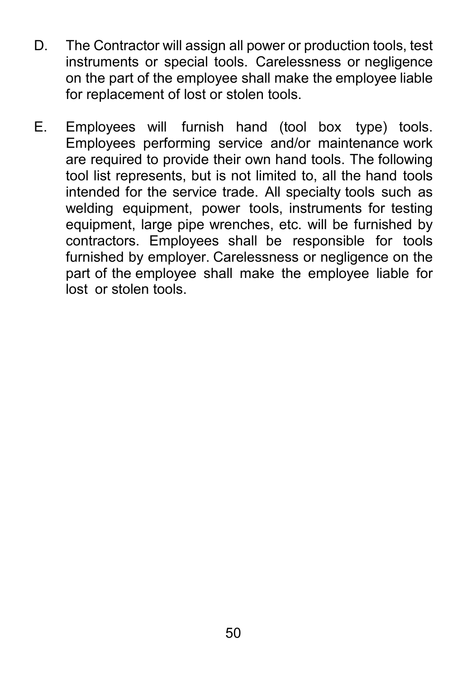- D. The Contractor will assign all power or production tools, test instruments or special tools. Carelessness or negligence on the part of the employee shall make the employee liable for replacement of lost or stolen tools.
- E. Employees will furnish hand (tool box type) tools. Employees performing service and/or maintenance work are required to provide their own hand tools. The following tool list represents, but is not limited to, all the hand tools intended for the service trade. All specialty tools such as welding equipment, power tools, instruments for testing equipment, large pipe wrenches, etc. will be furnished by contractors. Employees shall be responsible for tools furnished by employer. Carelessness or negligence on the part of the employee shall make the employee liable for lost or stolen tools.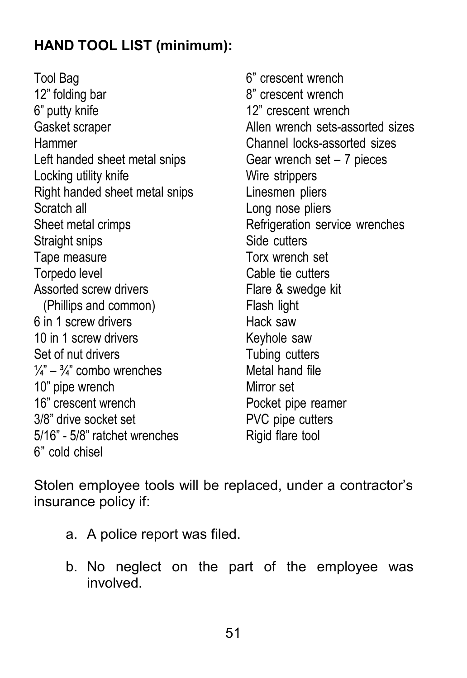# **HAND TOOL LIST (minimum):**

Tool Bag 6" crescent wrench 12" folding bar 8" crescent wrench 6" putty knife  $12$ " crescent wrench Hammer Channel locks-assorted sizes Left handed sheet metal snips Gear wrench set – 7 pieces Locking utility knife Wire strippers Right handed sheet metal snips Linesmen pliers Scratch all **Scratch** all **Long nose pliers** Sheet metal crimps **Refrigeration** service wrenches Straight snips Side cutters Tape measure Torx wrench set Torpedo level **Cable tie cutters** Assorted screw drivers **Flare & swedge kit** (Phillips and common) Flash light 6 in 1 screw drivers **Hack saw** 10 in 1 screw drivers The Controller Saw Set of nut drivers Tubing cutters  $\frac{1}{4}$ " –  $\frac{3}{4}$ " combo wrenches Metal hand file 10" pipe wrench Mirror set 16" crescent wrench **Pocket** pipe reamer 3/8" drive socket set PVC pipe cutters 5/16" - 5/8" ratchet wrenches Rigid flare tool 6" cold chisel

Gasket scraper **Allen wrench sets-assorted sizes** 

Stolen employee tools will be replaced, under a contractor's insurance policy if:

- a. A police report was filed.
- b. No neglect on the part of the employee was involved.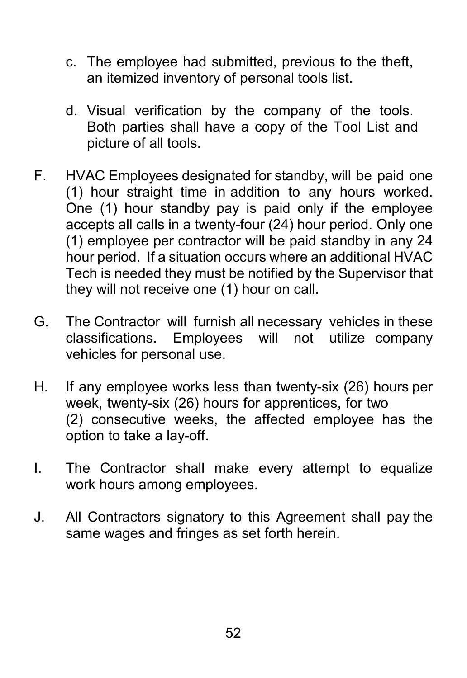- c. The employee had submitted, previous to the theft, an itemized inventory of personal tools list.
- d. Visual verification by the company of the tools. Both parties shall have a copy of the Tool List and picture of all tools.
- F. HVAC Employees designated for standby, will be paid one (1) hour straight time in addition to any hours worked. One (1) hour standby pay is paid only if the employee accepts all calls in a twenty-four (24) hour period. Only one (1) employee per contractor will be paid standby in any 24 hour period. If a situation occurs where an additional HVAC Tech is needed they must be notified by the Supervisor that they will not receive one (1) hour on call.
- G. The Contractor will furnish all necessary vehicles in these classifications. Employees will not utilize company vehicles for personal use.
- H. If any employee works less than twenty-six (26) hours per week, twenty-six (26) hours for apprentices, for two (2) consecutive weeks, the affected employee has the option to take a lay-off.
- I. The Contractor shall make every attempt to equalize work hours among employees.
- J. All Contractors signatory to this Agreement shall pay the same wages and fringes as set forth herein.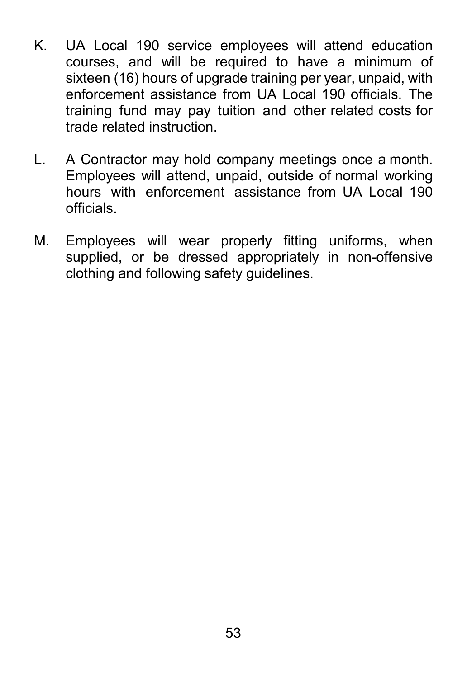- K. UA Local 190 service employees will attend education courses, and will be required to have a minimum of sixteen (16) hours of upgrade training per year, unpaid, with enforcement assistance from UA Local 190 officials. The training fund may pay tuition and other related costs for trade related instruction.
- L. A Contractor may hold company meetings once a month. Employees will attend, unpaid, outside of normal working hours with enforcement assistance from UA Local 190 officials.
- M. Employees will wear properly fitting uniforms, when supplied, or be dressed appropriately in non-offensive clothing and following safety guidelines.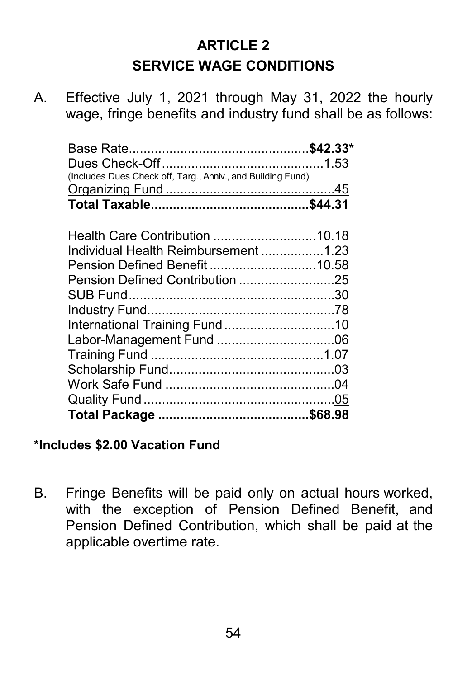# **ARTICLE 2 SERVICE WAGE CONDITIONS**

A. Effective July 1, 2021 through May 31, 2022 the hourly wage, fringe benefits and industry fund shall be as follows:

| (Includes Dues Check off, Targ., Anniv., and Building Fund) |  |
|-------------------------------------------------------------|--|
|                                                             |  |
|                                                             |  |
|                                                             |  |
| Health Care Contribution 10.18                              |  |
| Individual Health Reimbursement 1.23                        |  |
| Pension Defined Benefit 10.58                               |  |
| Pension Defined Contribution 25                             |  |
|                                                             |  |
|                                                             |  |
| International Training Fund10                               |  |
|                                                             |  |
|                                                             |  |
|                                                             |  |
|                                                             |  |
|                                                             |  |
|                                                             |  |

#### **\*Includes \$2.00 Vacation Fund**

B. Fringe Benefits will be paid only on actual hours worked, with the exception of Pension Defined Benefit, and Pension Defined Contribution, which shall be paid at the applicable overtime rate.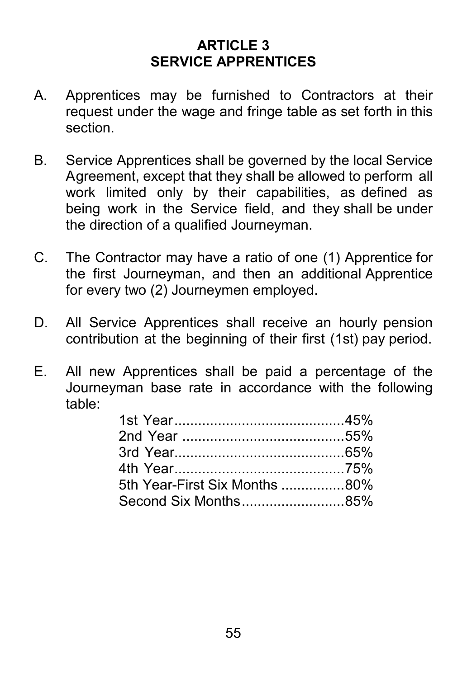# **ARTICLE 3 SERVICE APPRENTICES**

- A. Apprentices may be furnished to Contractors at their request under the wage and fringe table as set forth in this section.
- B. Service Apprentices shall be governed by the local Service Agreement, except that they shall be allowed to perform all work limited only by their capabilities, as defined as being work in the Service field, and they shall be under the direction of a qualified Journeyman.
- C. The Contractor may have a ratio of one (1) Apprentice for the first Journeyman, and then an additional Apprentice for every two (2) Journeymen employed.
- D. All Service Apprentices shall receive an hourly pension contribution at the beginning of their first (1st) pay period.
- E. All new Apprentices shall be paid a percentage of the Journeyman base rate in accordance with the following table:

| 5th Year-First Six Months 80% |  |
|-------------------------------|--|
|                               |  |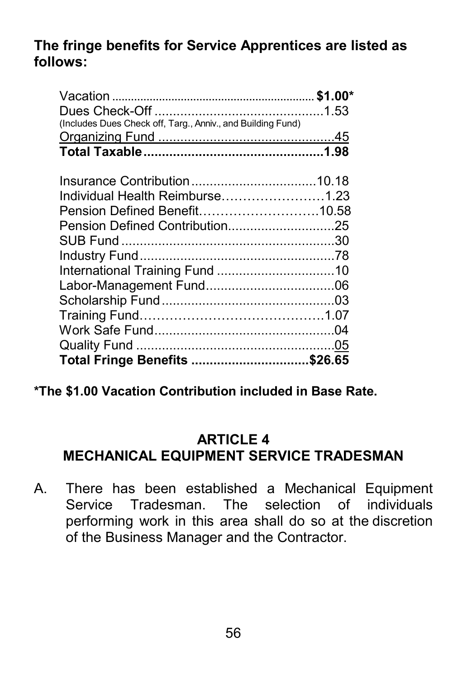### **The fringe benefits for Service Apprentices are listed as follows:**

| (Includes Dues Check off, Targ., Anniv., and Building Fund) |  |
|-------------------------------------------------------------|--|
|                                                             |  |
|                                                             |  |
|                                                             |  |
|                                                             |  |
| Individual Health Reimburse1.23                             |  |
| Pension Defined Benefit10.58                                |  |
| Pension Defined Contribution25                              |  |
|                                                             |  |
|                                                             |  |
|                                                             |  |
|                                                             |  |
|                                                             |  |
|                                                             |  |
|                                                             |  |
|                                                             |  |
| Total Fringe Benefits \$26.65                               |  |

**\*The \$1.00 Vacation Contribution included in Base Rate.**

#### **ARTICLE 4 MECHANICAL EQUIPMENT SERVICE TRADESMAN**

A. There has been established a Mechanical Equipment Service Tradesman. The selection of individuals performing work in this area shall do so at the discretion of the Business Manager and the Contractor.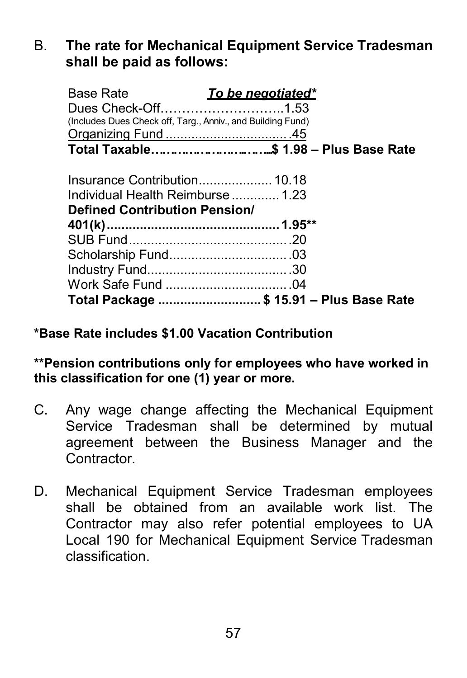#### B. **The rate for Mechanical Equipment Service Tradesman shall be paid as follows:**

| <b>Base Rate</b><br>(Includes Dues Check off, Targ., Anniv., and Building Fund) | To be negotiated*                        |
|---------------------------------------------------------------------------------|------------------------------------------|
|                                                                                 |                                          |
| Insurance Contribution 10.18                                                    |                                          |
| Individual Health Reimburse  1.23                                               |                                          |
| Defined Contribution Pension/                                                   |                                          |
|                                                                                 |                                          |
|                                                                                 |                                          |
|                                                                                 |                                          |
|                                                                                 |                                          |
|                                                                                 |                                          |
|                                                                                 | Total Package  \$ 15.91 - Plus Base Rate |

#### **\*Base Rate includes \$1.00 Vacation Contribution**

**\*\*Pension contributions only for employees who have worked in this classification for one (1) year or more.**

- C. Any wage change affecting the Mechanical Equipment Service Tradesman shall be determined by mutual agreement between the Business Manager and the Contractor.
- D. Mechanical Equipment Service Tradesman employees shall be obtained from an available work list. The Contractor may also refer potential employees to UA Local 190 for Mechanical Equipment Service Tradesman classification.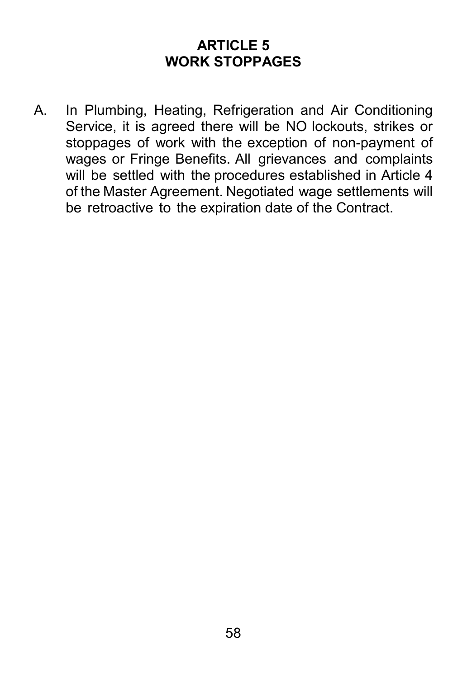# **ARTICLE 5 WORK STOPPAGES**

A. In Plumbing, Heating, Refrigeration and Air Conditioning Service, it is agreed there will be NO lockouts, strikes or stoppages of work with the exception of non-payment of wages or Fringe Benefits. All grievances and complaints will be settled with the procedures established in Article 4 of the Master Agreement. Negotiated wage settlements will be retroactive to the expiration date of the Contract.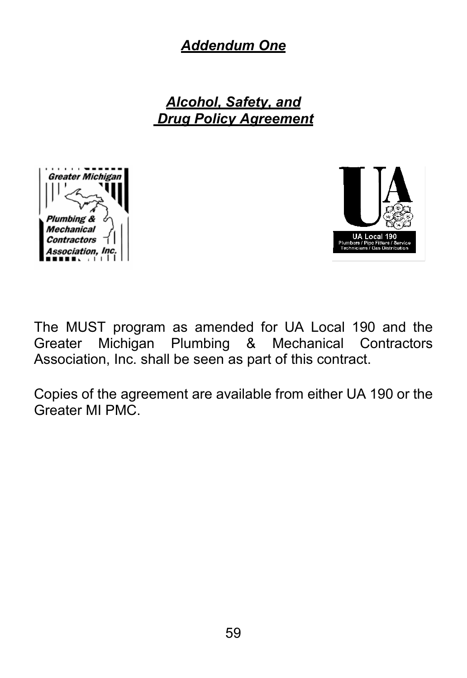*Addendum One*

*Alcohol, Safety, and Drug Policy Agreement*





The MUST program as amended for UA Local 190 and the Greater Michigan Plumbing & Mechanical Contractors Association, Inc. shall be seen as part of this contract.

Copies of the agreement are available from either UA 190 or the Greater MI PMC.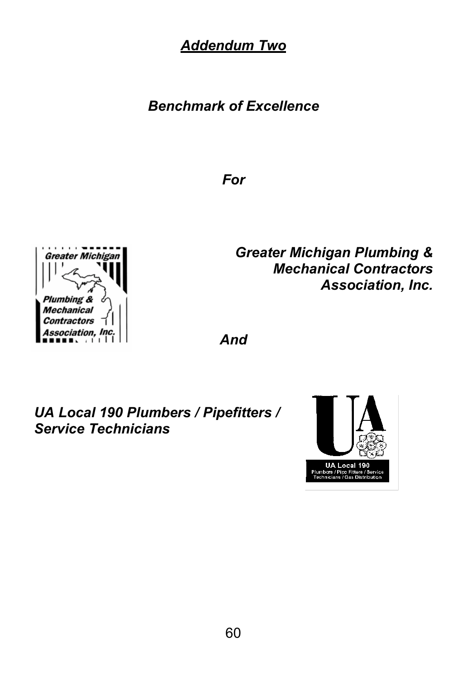*Addendum Two*

<span id="page-61-0"></span>*Benchmark of Excellence*

*For*



*Greater Michigan Plumbing & Mechanical Contractors Association, Inc.*

*And*

*UA Local 190 Plumbers / Pipefitters / Service Technicians*

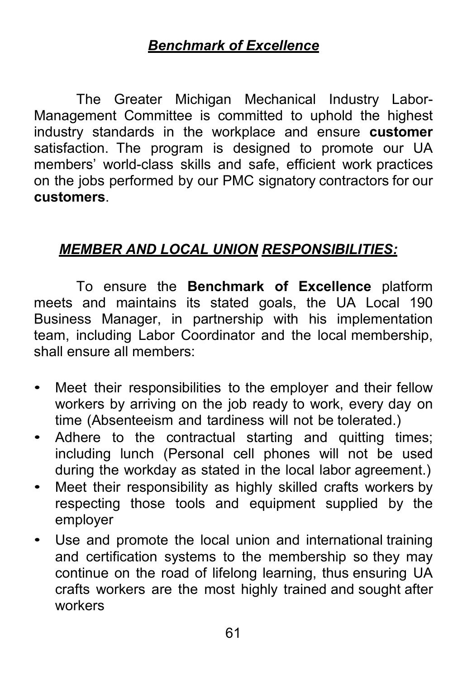# *Benchmark of Excellence*

The Greater Michigan Mechanical Industry Labor-Management Committee is committed to uphold the highest industry standards in the workplace and ensure **customer**  satisfaction. The program is designed to promote our UA members' world-class skills and safe, efficient work practices on the jobs performed by our PMC signatory contractors for our **customers**.

# *MEMBER AND LOCAL UNION RESPONSIBILITIES:*

To ensure the **Benchmark of Excellence** platform meets and maintains its stated goals, the UA Local 190 Business Manager, in partnership with his implementation team, including Labor Coordinator and the local membership, shall ensure all members:

- Meet their responsibilities to the employer and their fellow workers by arriving on the job ready to work, every day on time (Absenteeism and tardiness will not be tolerated.)
- Adhere to the contractual starting and quitting times; including lunch (Personal cell phones will not be used during the workday as stated in the local labor agreement.)
- Meet their responsibility as highly skilled crafts workers by respecting those tools and equipment supplied by the employer
- Use and promote the local union and international training and certification systems to the membership so they may continue on the road of lifelong learning, thus ensuring UA crafts workers are the most highly trained and sought after workers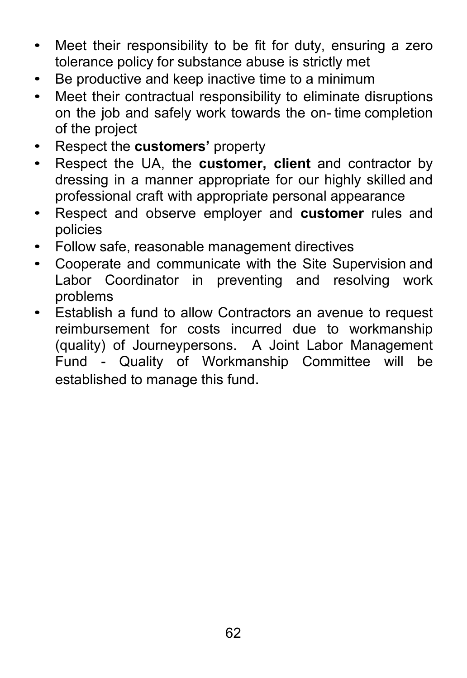- Meet their responsibility to be fit for duty, ensuring a zero tolerance policy for substance abuse is strictly met
- Be productive and keep inactive time to a minimum
- Meet their contractual responsibility to eliminate disruptions on the job and safely work towards the on- time completion of the project
- Respect the **customers'** property
- Respect the UA, the **customer, client** and contractor by dressing in a manner appropriate for our highly skilled and professional craft with appropriate personal appearance
- Respect and observe employer and **customer** rules and policies
- Follow safe, reasonable management directives
- Cooperate and communicate with the Site Supervision and Labor Coordinator in preventing and resolving work problems
- Establish a fund to allow Contractors an avenue to request reimbursement for costs incurred due to workmanship (quality) of Journeypersons. A Joint Labor Management Fund - Quality of Workmanship Committee will be established to manage this fund.